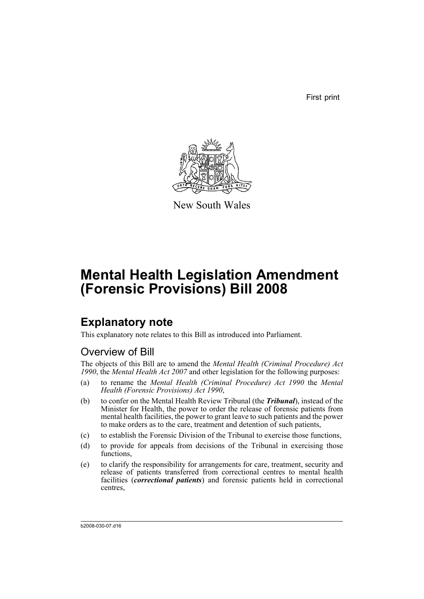First print



New South Wales

# **Mental Health Legislation Amendment (Forensic Provisions) Bill 2008**

# **Explanatory note**

This explanatory note relates to this Bill as introduced into Parliament.

# Overview of Bill

The objects of this Bill are to amend the *Mental Health (Criminal Procedure) Act 1990*, the *Mental Health Act 2007* and other legislation for the following purposes:

- (a) to rename the *Mental Health (Criminal Procedure) Act 1990* the *Mental Health (Forensic Provisions) Act 1990*,
- (b) to confer on the Mental Health Review Tribunal (the *Tribunal*), instead of the Minister for Health, the power to order the release of forensic patients from mental health facilities, the power to grant leave to such patients and the power to make orders as to the care, treatment and detention of such patients,
- (c) to establish the Forensic Division of the Tribunal to exercise those functions,
- (d) to provide for appeals from decisions of the Tribunal in exercising those functions.
- (e) to clarify the responsibility for arrangements for care, treatment, security and release of patients transferred from correctional centres to mental health facilities (*correctional patients*) and forensic patients held in correctional centres,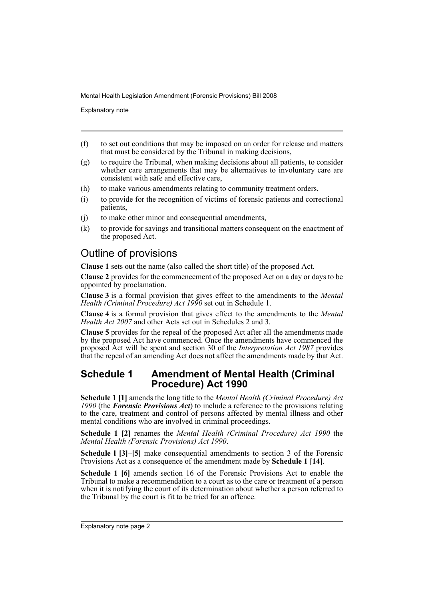Explanatory note

- (f) to set out conditions that may be imposed on an order for release and matters that must be considered by the Tribunal in making decisions,
- (g) to require the Tribunal, when making decisions about all patients, to consider whether care arrangements that may be alternatives to involuntary care are consistent with safe and effective care,
- (h) to make various amendments relating to community treatment orders,
- (i) to provide for the recognition of victims of forensic patients and correctional patients,
- (j) to make other minor and consequential amendments,
- (k) to provide for savings and transitional matters consequent on the enactment of the proposed Act.

# Outline of provisions

**Clause 1** sets out the name (also called the short title) of the proposed Act.

**Clause 2** provides for the commencement of the proposed Act on a day or days to be appointed by proclamation.

**Clause 3** is a formal provision that gives effect to the amendments to the *Mental Health (Criminal Procedure) Act 1990* set out in Schedule 1.

**Clause 4** is a formal provision that gives effect to the amendments to the *Mental Health Act 2007* and other Acts set out in Schedules 2 and 3.

**Clause 5** provides for the repeal of the proposed Act after all the amendments made by the proposed Act have commenced. Once the amendments have commenced the proposed Act will be spent and section 30 of the *Interpretation Act 1987* provides that the repeal of an amending Act does not affect the amendments made by that Act.

### **Schedule 1 Amendment of Mental Health (Criminal Procedure) Act 1990**

**Schedule 1 [1]** amends the long title to the *Mental Health (Criminal Procedure) Act 1990* (the *Forensic Provisions Act*) to include a reference to the provisions relating to the care, treatment and control of persons affected by mental illness and other mental conditions who are involved in criminal proceedings.

**Schedule 1 [2]** renames the *Mental Health (Criminal Procedure) Act 1990* the *Mental Health (Forensic Provisions) Act 1990*.

**Schedule 1 [3]–[5]** make consequential amendments to section 3 of the Forensic Provisions Act as a consequence of the amendment made by **Schedule 1 [14]**.

**Schedule 1 [6]** amends section 16 of the Forensic Provisions Act to enable the Tribunal to make a recommendation to a court as to the care or treatment of a person when it is notifying the court of its determination about whether a person referred to the Tribunal by the court is fit to be tried for an offence.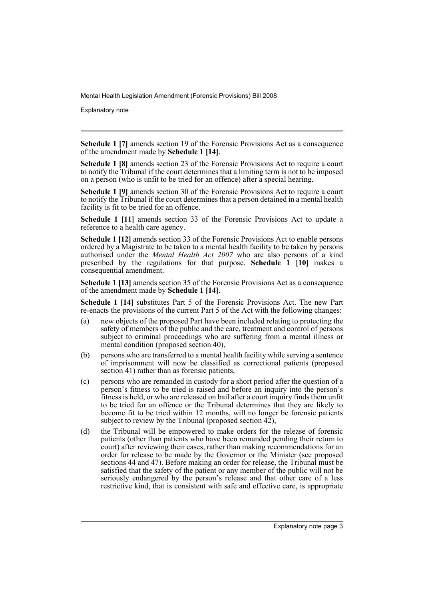Explanatory note

**Schedule 1 [7]** amends section 19 of the Forensic Provisions Act as a consequence of the amendment made by **Schedule 1 [14]**.

**Schedule 1 [8]** amends section 23 of the Forensic Provisions Act to require a court to notify the Tribunal if the court determines that a limiting term is not to be imposed on a person (who is unfit to be tried for an offence) after a special hearing.

**Schedule 1 [9]** amends section 30 of the Forensic Provisions Act to require a court to notify the Tribunal if the court determines that a person detained in a mental health facility is fit to be tried for an offence.

**Schedule 1 [11]** amends section 33 of the Forensic Provisions Act to update a reference to a health care agency.

**Schedule 1 [12]** amends section 33 of the Forensic Provisions Act to enable persons ordered by a Magistrate to be taken to a mental health facility to be taken by persons authorised under the *Mental Health Act 2007* who are also persons of a kind prescribed by the regulations for that purpose. **Schedule 1 [10]** makes a consequential amendment.

**Schedule 1 [13]** amends section 35 of the Forensic Provisions Act as a consequence of the amendment made by **Schedule 1 [14]**.

**Schedule 1 [14]** substitutes Part 5 of the Forensic Provisions Act. The new Part re-enacts the provisions of the current Part 5 of the Act with the following changes:

- (a) new objects of the proposed Part have been included relating to protecting the safety of members of the public and the care, treatment and control of persons subject to criminal proceedings who are suffering from a mental illness or mental condition (proposed section 40),
- (b) persons who are transferred to a mental health facility while serving a sentence of imprisonment will now be classified as correctional patients (proposed section 41) rather than as forensic patients,
- (c) persons who are remanded in custody for a short period after the question of a person's fitness to be tried is raised and before an inquiry into the person's fitness is held, or who are released on bail after a court inquiry finds them unfit to be tried for an offence or the Tribunal determines that they are likely to become fit to be tried within 12 months, will no longer be forensic patients subject to review by the Tribunal (proposed section 42),
- (d) the Tribunal will be empowered to make orders for the release of forensic patients (other than patients who have been remanded pending their return to court) after reviewing their cases, rather than making recommendations for an order for release to be made by the Governor or the Minister (see proposed sections 44 and 47). Before making an order for release, the Tribunal must be satisfied that the safety of the patient or any member of the public will not be seriously endangered by the person's release and that other care of a less restrictive kind, that is consistent with safe and effective care, is appropriate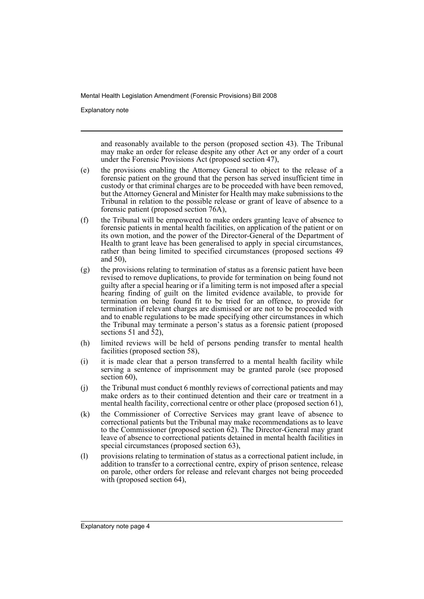Explanatory note

and reasonably available to the person (proposed section 43). The Tribunal may make an order for release despite any other Act or any order of a court under the Forensic Provisions Act (proposed section 47),

- (e) the provisions enabling the Attorney General to object to the release of a forensic patient on the ground that the person has served insufficient time in custody or that criminal charges are to be proceeded with have been removed, but the Attorney General and Minister for Health may make submissions to the Tribunal in relation to the possible release or grant of leave of absence to a forensic patient (proposed section 76A),
- (f) the Tribunal will be empowered to make orders granting leave of absence to forensic patients in mental health facilities, on application of the patient or on its own motion, and the power of the Director-General of the Department of Health to grant leave has been generalised to apply in special circumstances, rather than being limited to specified circumstances (proposed sections 49 and 50),
- (g) the provisions relating to termination of status as a forensic patient have been revised to remove duplications, to provide for termination on being found not guilty after a special hearing or if a limiting term is not imposed after a special hearing finding of guilt on the limited evidence available, to provide for termination on being found fit to be tried for an offence, to provide for termination if relevant charges are dismissed or are not to be proceeded with and to enable regulations to be made specifying other circumstances in which the Tribunal may terminate a person's status as a forensic patient (proposed sections 51 and 52),
- (h) limited reviews will be held of persons pending transfer to mental health facilities (proposed section 58),
- (i) it is made clear that a person transferred to a mental health facility while serving a sentence of imprisonment may be granted parole (see proposed section 60),
- (j) the Tribunal must conduct 6 monthly reviews of correctional patients and may make orders as to their continued detention and their care or treatment in a mental health facility, correctional centre or other place (proposed section 61),
- (k) the Commissioner of Corrective Services may grant leave of absence to correctional patients but the Tribunal may make recommendations as to leave to the Commissioner (proposed section  $62$ ). The Director-General may grant leave of absence to correctional patients detained in mental health facilities in special circumstances (proposed section 63),
- (l) provisions relating to termination of status as a correctional patient include, in addition to transfer to a correctional centre, expiry of prison sentence, release on parole, other orders for release and relevant charges not being proceeded with (proposed section 64),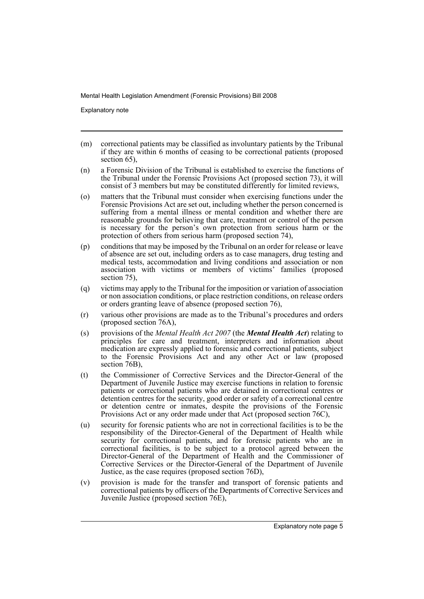Explanatory note

- (m) correctional patients may be classified as involuntary patients by the Tribunal if they are within 6 months of ceasing to be correctional patients (proposed section 65).
- (n) a Forensic Division of the Tribunal is established to exercise the functions of the Tribunal under the Forensic Provisions Act (proposed section 73), it will consist of 3 members but may be constituted differently for limited reviews,
- (o) matters that the Tribunal must consider when exercising functions under the Forensic Provisions Act are set out, including whether the person concerned is suffering from a mental illness or mental condition and whether there are reasonable grounds for believing that care, treatment or control of the person is necessary for the person's own protection from serious harm or the protection of others from serious harm (proposed section 74),
- (p) conditions that may be imposed by the Tribunal on an order for release or leave of absence are set out, including orders as to case managers, drug testing and medical tests, accommodation and living conditions and association or non association with victims or members of victims' families (proposed section 75).
- (q) victims may apply to the Tribunal for the imposition or variation of association or non association conditions, or place restriction conditions, on release orders or orders granting leave of absence (proposed section 76),
- (r) various other provisions are made as to the Tribunal's procedures and orders (proposed section 76A),
- (s) provisions of the *Mental Health Act 2007* (the *Mental Health Act*) relating to principles for care and treatment, interpreters and information about medication are expressly applied to forensic and correctional patients, subject to the Forensic Provisions Act and any other Act or law (proposed section 76B),
- (t) the Commissioner of Corrective Services and the Director-General of the Department of Juvenile Justice may exercise functions in relation to forensic patients or correctional patients who are detained in correctional centres or detention centres for the security, good order or safety of a correctional centre or detention centre or inmates, despite the provisions of the Forensic Provisions Act or any order made under that Act (proposed section 76C),
- (u) security for forensic patients who are not in correctional facilities is to be the responsibility of the Director-General of the Department of Health while security for correctional patients, and for forensic patients who are in correctional facilities, is to be subject to a protocol agreed between the Director-General of the Department of Health and the Commissioner of Corrective Services or the Director-General of the Department of Juvenile Justice, as the case requires (proposed section 76D),
- (v) provision is made for the transfer and transport of forensic patients and correctional patients by officers of the Departments of Corrective Services and Juvenile Justice (proposed section 76E),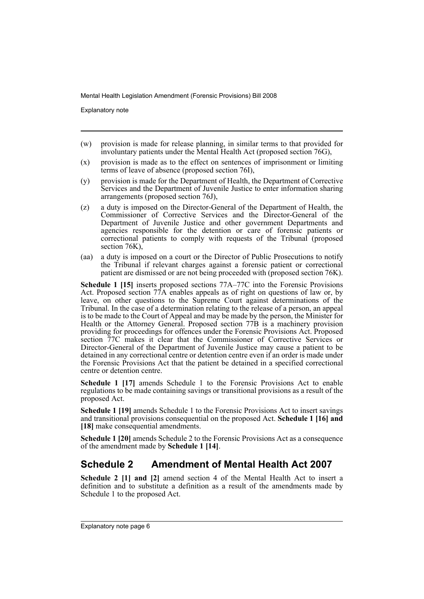Explanatory note

- (w) provision is made for release planning, in similar terms to that provided for involuntary patients under the Mental Health Act (proposed section 76G),
- (x) provision is made as to the effect on sentences of imprisonment or limiting terms of leave of absence (proposed section 76I),
- (y) provision is made for the Department of Health, the Department of Corrective Services and the Department of Juvenile Justice to enter information sharing arrangements (proposed section 76J),
- (z) a duty is imposed on the Director-General of the Department of Health, the Commissioner of Corrective Services and the Director-General of the Department of Juvenile Justice and other government Departments and agencies responsible for the detention or care of forensic patients or correctional patients to comply with requests of the Tribunal (proposed section 76K).
- (aa) a duty is imposed on a court or the Director of Public Prosecutions to notify the Tribunal if relevant charges against a forensic patient or correctional patient are dismissed or are not being proceeded with (proposed section 76K).

**Schedule 1 [15]** inserts proposed sections 77A–77C into the Forensic Provisions Act. Proposed section  $77A$  enables appeals as of right on questions of law or, by leave, on other questions to the Supreme Court against determinations of the Tribunal. In the case of a determination relating to the release of a person, an appeal is to be made to the Court of Appeal and may be made by the person, the Minister for Health or the Attorney General. Proposed section 77B is a machinery provision providing for proceedings for offences under the Forensic Provisions Act. Proposed section 77C makes it clear that the Commissioner of Corrective Services or Director-General of the Department of Juvenile Justice may cause a patient to be detained in any correctional centre or detention centre even if an order is made under the Forensic Provisions Act that the patient be detained in a specified correctional centre or detention centre.

**Schedule 1 [17]** amends Schedule 1 to the Forensic Provisions Act to enable regulations to be made containing savings or transitional provisions as a result of the proposed Act.

**Schedule 1 [19]** amends Schedule 1 to the Forensic Provisions Act to insert savings and transitional provisions consequential on the proposed Act. **Schedule 1 [16] and** [18] make consequential amendments.

**Schedule 1 [20]** amends Schedule 2 to the Forensic Provisions Act as a consequence of the amendment made by **Schedule 1 [14]**.

## **Schedule 2 Amendment of Mental Health Act 2007**

**Schedule 2 [1] and [2]** amend section 4 of the Mental Health Act to insert a definition and to substitute a definition as a result of the amendments made by Schedule 1 to the proposed Act.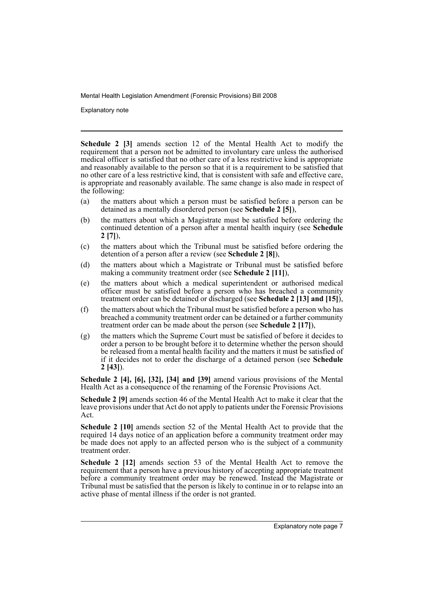Explanatory note

**Schedule 2 [3]** amends section 12 of the Mental Health Act to modify the requirement that a person not be admitted to involuntary care unless the authorised medical officer is satisfied that no other care of a less restrictive kind is appropriate and reasonably available to the person so that it is a requirement to be satisfied that no other care of a less restrictive kind, that is consistent with safe and effective care, is appropriate and reasonably available. The same change is also made in respect of the following:

- (a) the matters about which a person must be satisfied before a person can be detained as a mentally disordered person (see **Schedule 2 [5]**),
- (b) the matters about which a Magistrate must be satisfied before ordering the continued detention of a person after a mental health inquiry (see **Schedule 2 [7]**),
- (c) the matters about which the Tribunal must be satisfied before ordering the detention of a person after a review (see **Schedule 2 [8]**),
- (d) the matters about which a Magistrate or Tribunal must be satisfied before making a community treatment order (see **Schedule 2 [11]**),
- (e) the matters about which a medical superintendent or authorised medical officer must be satisfied before a person who has breached a community treatment order can be detained or discharged (see **Schedule 2 [13] and [15]**),
- (f) the matters about which the Tribunal must be satisfied before a person who has breached a community treatment order can be detained or a further community treatment order can be made about the person (see **Schedule 2 [17]**),
- (g) the matters which the Supreme Court must be satisfied of before it decides to order a person to be brought before it to determine whether the person should be released from a mental health facility and the matters it must be satisfied of if it decides not to order the discharge of a detained person (see **Schedule 2 [43]**).

**Schedule 2 [4], [6], [32], [34] and [39]** amend various provisions of the Mental Health Act as a consequence of the renaming of the Forensic Provisions Act.

**Schedule 2 [9]** amends section 46 of the Mental Health Act to make it clear that the leave provisions under that Act do not apply to patients under the Forensic Provisions Act.

**Schedule 2 [10]** amends section 52 of the Mental Health Act to provide that the required 14 days notice of an application before a community treatment order may be made does not apply to an affected person who is the subject of a community treatment order.

**Schedule 2 [12]** amends section 53 of the Mental Health Act to remove the requirement that a person have a previous history of accepting appropriate treatment before a community treatment order may be renewed. Instead the Magistrate or Tribunal must be satisfied that the person is likely to continue in or to relapse into an active phase of mental illness if the order is not granted.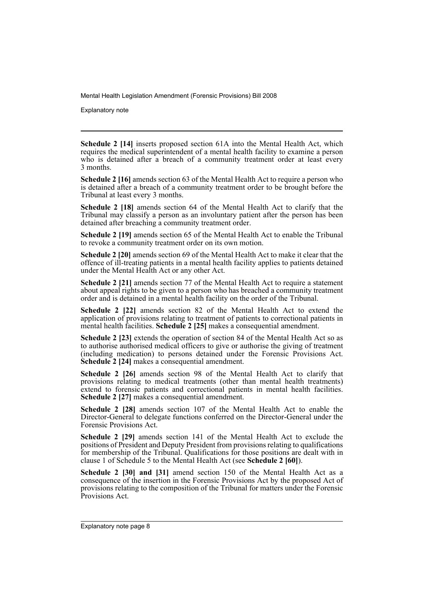Explanatory note

**Schedule 2 [14]** inserts proposed section 61A into the Mental Health Act, which requires the medical superintendent of a mental health facility to examine a person who is detained after a breach of a community treatment order at least every 3 months.

**Schedule 2 [16]** amends section 63 of the Mental Health Act to require a person who is detained after a breach of a community treatment order to be brought before the Tribunal at least every 3 months.

**Schedule 2 [18]** amends section 64 of the Mental Health Act to clarify that the Tribunal may classify a person as an involuntary patient after the person has been detained after breaching a community treatment order.

**Schedule 2 [19]** amends section 65 of the Mental Health Act to enable the Tribunal to revoke a community treatment order on its own motion.

**Schedule 2 [20]** amends section 69 of the Mental Health Act to make it clear that the offence of ill-treating patients in a mental health facility applies to patients detained under the Mental Health Act or any other Act.

**Schedule 2 [21]** amends section 77 of the Mental Health Act to require a statement about appeal rights to be given to a person who has breached a community treatment order and is detained in a mental health facility on the order of the Tribunal.

**Schedule 2 [22]** amends section 82 of the Mental Health Act to extend the application of provisions relating to treatment of patients to correctional patients in mental health facilities. **Schedule 2 [25]** makes a consequential amendment.

**Schedule 2 [23]** extends the operation of section 84 of the Mental Health Act so as to authorise authorised medical officers to give or authorise the giving of treatment (including medication) to persons detained under the Forensic Provisions Act. **Schedule 2 [24]** makes a consequential amendment.

**Schedule 2 [26]** amends section 98 of the Mental Health Act to clarify that provisions relating to medical treatments (other than mental health treatments) extend to forensic patients and correctional patients in mental health facilities. Schedule 2 [27] makes a consequential amendment.

**Schedule 2 [28]** amends section 107 of the Mental Health Act to enable the Director-General to delegate functions conferred on the Director-General under the Forensic Provisions Act.

**Schedule 2 [29]** amends section 141 of the Mental Health Act to exclude the positions of President and Deputy President from provisions relating to qualifications for membership of the Tribunal. Qualifications for those positions are dealt with in clause 1 of Schedule 5 to the Mental Health Act (see **Schedule 2 [60]**).

**Schedule 2 [30] and [31]** amend section 150 of the Mental Health Act as a consequence of the insertion in the Forensic Provisions Act by the proposed Act of provisions relating to the composition of the Tribunal for matters under the Forensic Provisions Act.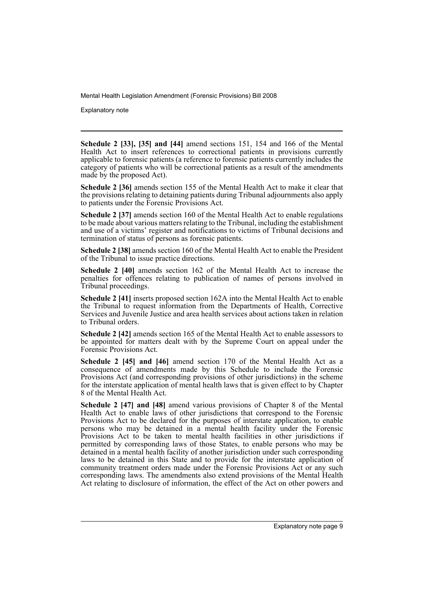Explanatory note

**Schedule 2 [33], [35] and [44]** amend sections 151, 154 and 166 of the Mental Health Act to insert references to correctional patients in provisions currently applicable to forensic patients (a reference to forensic patients currently includes the category of patients who will be correctional patients as a result of the amendments made by the proposed Act).

**Schedule 2 [36]** amends section 155 of the Mental Health Act to make it clear that the provisions relating to detaining patients during Tribunal adjournments also apply to patients under the Forensic Provisions Act.

**Schedule 2 [37]** amends section 160 of the Mental Health Act to enable regulations to be made about various matters relating to the Tribunal, including the establishment and use of a victims' register and notifications to victims of Tribunal decisions and termination of status of persons as forensic patients.

**Schedule 2 [38]** amends section 160 of the Mental Health Act to enable the President of the Tribunal to issue practice directions.

**Schedule 2 [40]** amends section 162 of the Mental Health Act to increase the penalties for offences relating to publication of names of persons involved in Tribunal proceedings.

**Schedule 2 [41]** inserts proposed section 162A into the Mental Health Act to enable the Tribunal to request information from the Departments of Health, Corrective Services and Juvenile Justice and area health services about actions taken in relation to Tribunal orders.

**Schedule 2 [42]** amends section 165 of the Mental Health Act to enable assessors to be appointed for matters dealt with by the Supreme Court on appeal under the Forensic Provisions Act.

Schedule 2 [45] and [46] amend section 170 of the Mental Health Act as a consequence of amendments made by this Schedule to include the Forensic Provisions Act (and corresponding provisions of other jurisdictions) in the scheme for the interstate application of mental health laws that is given effect to by Chapter 8 of the Mental Health Act.

**Schedule 2 [47] and [48]** amend various provisions of Chapter 8 of the Mental Health Act to enable laws of other jurisdictions that correspond to the Forensic Provisions Act to be declared for the purposes of interstate application, to enable persons who may be detained in a mental health facility under the Forensic Provisions Act to be taken to mental health facilities in other jurisdictions if permitted by corresponding laws of those States, to enable persons who may be detained in a mental health facility of another jurisdiction under such corresponding laws to be detained in this State and to provide for the interstate application of community treatment orders made under the Forensic Provisions Act or any such corresponding laws. The amendments also extend provisions of the Mental Health Act relating to disclosure of information, the effect of the Act on other powers and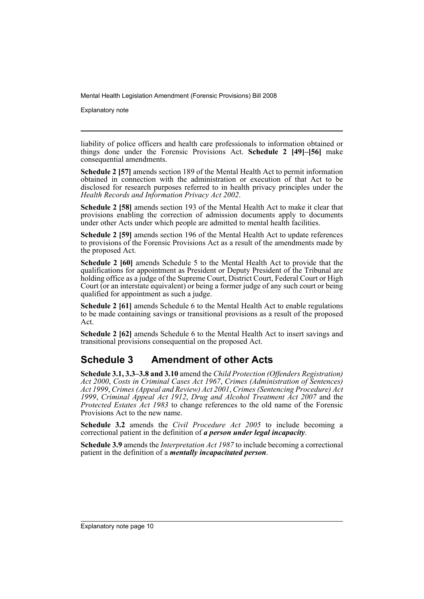Explanatory note

liability of police officers and health care professionals to information obtained or things done under the Forensic Provisions Act. **Schedule 2 [49]–[56]** make consequential amendments.

**Schedule 2 [57]** amends section 189 of the Mental Health Act to permit information obtained in connection with the administration or execution of that Act to be disclosed for research purposes referred to in health privacy principles under the *Health Records and Information Privacy Act 2002*.

**Schedule 2 [58]** amends section 193 of the Mental Health Act to make it clear that provisions enabling the correction of admission documents apply to documents under other Acts under which people are admitted to mental health facilities.

**Schedule 2 [59]** amends section 196 of the Mental Health Act to update references to provisions of the Forensic Provisions Act as a result of the amendments made by the proposed Act.

**Schedule 2 [60]** amends Schedule 5 to the Mental Health Act to provide that the qualifications for appointment as President or Deputy President of the Tribunal are holding office as a judge of the Supreme Court, District Court, Federal Court or High Court (or an interstate equivalent) or being a former judge of any such court or being qualified for appointment as such a judge.

**Schedule 2 [61]** amends Schedule 6 to the Mental Health Act to enable regulations to be made containing savings or transitional provisions as a result of the proposed Act.

**Schedule 2 [62]** amends Schedule 6 to the Mental Health Act to insert savings and transitional provisions consequential on the proposed Act.

## **Schedule 3 Amendment of other Acts**

**Schedule 3.1, 3.3–3.8 and 3.10** amend the *Child Protection (Offenders Registration) Act 2000*, *Costs in Criminal Cases Act 1967*, *Crimes (Administration of Sentences) Act 1999*, *Crimes (Appeal and Review) Act 2001*, *Crimes (Sentencing Procedure) Act 1999*, *Criminal Appeal Act 1912*, *Drug and Alcohol Treatment Act 2007* and the *Protected Estates Act 1983* to change references to the old name of the Forensic Provisions Act to the new name.

**Schedule 3.2** amends the *Civil Procedure Act 2005* to include becoming a correctional patient in the definition of *a person under legal incapacity*.

**Schedule 3.9** amends the *Interpretation Act 1987* to include becoming a correctional patient in the definition of a *mentally incapacitated person*.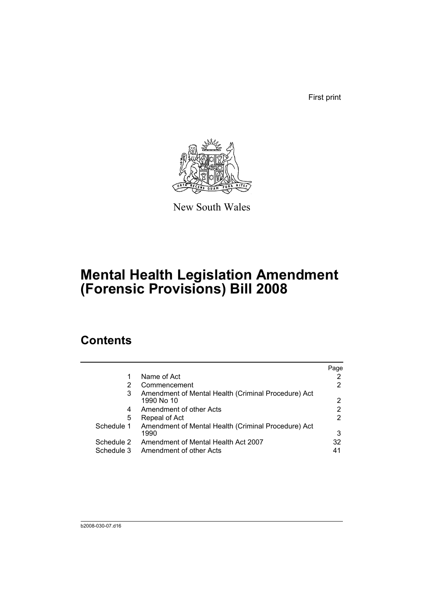First print



New South Wales

# **Mental Health Legislation Amendment (Forensic Provisions) Bill 2008**

# **Contents**

|            |                                                                   | Page |
|------------|-------------------------------------------------------------------|------|
|            | Name of Act                                                       |      |
| 2          | Commencement                                                      |      |
| 3          | Amendment of Mental Health (Criminal Procedure) Act<br>1990 No 10 | 2    |
| 4          | Amendment of other Acts                                           | 2    |
| 5          | Repeal of Act                                                     | 2    |
| Schedule 1 | Amendment of Mental Health (Criminal Procedure) Act               |      |
|            | 1990                                                              | 3    |
| Schedule 2 | Amendment of Mental Health Act 2007                               | 32   |
| Schedule 3 | Amendment of other Acts                                           | 41   |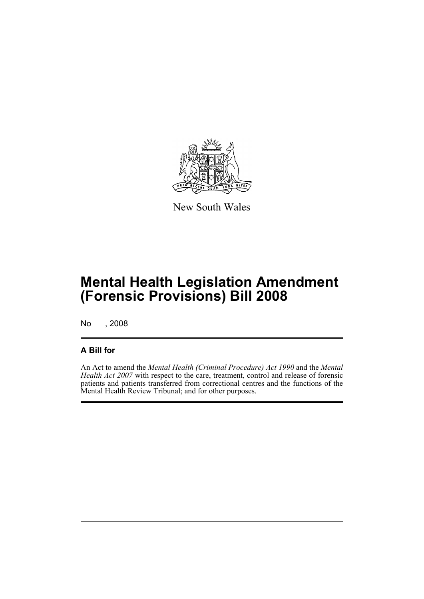

New South Wales

# **Mental Health Legislation Amendment (Forensic Provisions) Bill 2008**

No , 2008

### **A Bill for**

An Act to amend the *Mental Health (Criminal Procedure) Act 1990* and the *Mental Health Act 2007* with respect to the care, treatment, control and release of forensic patients and patients transferred from correctional centres and the functions of the Mental Health Review Tribunal; and for other purposes.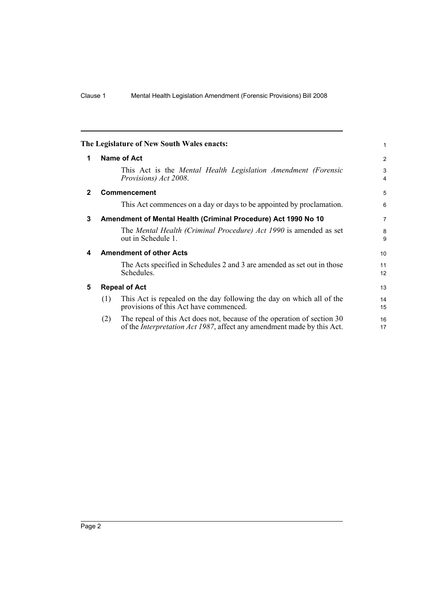<span id="page-13-4"></span><span id="page-13-3"></span><span id="page-13-2"></span><span id="page-13-1"></span><span id="page-13-0"></span>

|              | The Legislature of New South Wales enacts:                                                                                                                       | 1                   |
|--------------|------------------------------------------------------------------------------------------------------------------------------------------------------------------|---------------------|
| 1            | Name of Act                                                                                                                                                      | 2                   |
|              | This Act is the Mental Health Legislation Amendment (Forensic<br>Provisions) Act 2008.                                                                           | 3<br>$\overline{4}$ |
| $\mathbf{2}$ | <b>Commencement</b>                                                                                                                                              | 5                   |
|              | This Act commences on a day or days to be appointed by proclamation.                                                                                             | 6                   |
| 3            | Amendment of Mental Health (Criminal Procedure) Act 1990 No 10                                                                                                   | $\overline{7}$      |
|              | The Mental Health (Criminal Procedure) Act 1990 is amended as set<br>out in Schedule 1.                                                                          | 8<br>9              |
| 4            | <b>Amendment of other Acts</b>                                                                                                                                   | 10                  |
|              | The Acts specified in Schedules 2 and 3 are amended as set out in those<br>Schedules.                                                                            | 11<br>12            |
| 5            | <b>Repeal of Act</b>                                                                                                                                             | 13                  |
|              | This Act is repealed on the day following the day on which all of the<br>(1)<br>provisions of this Act have commenced.                                           | 14<br>15            |
|              | The repeal of this Act does not, because of the operation of section 30<br>(2)<br>of the <i>Interpretation Act 1987</i> , affect any amendment made by this Act. | 16<br>17            |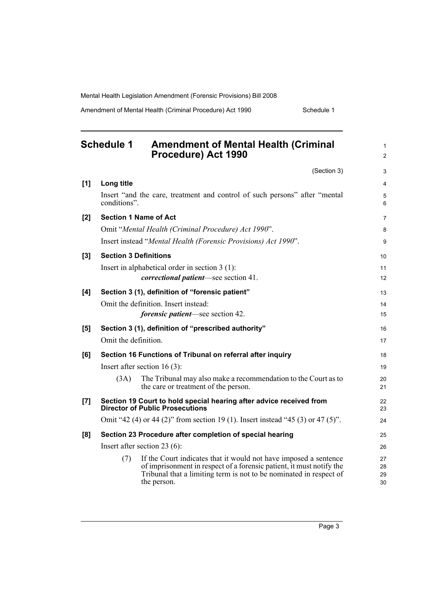Amendment of Mental Health (Criminal Procedure) Act 1990 Schedule 1

<span id="page-14-0"></span>

|     | <b>Schedule 1</b><br><b>Amendment of Mental Health (Criminal</b><br>Procedure) Act 1990                                                                                                                                              | $\mathbf{1}$<br>2    |
|-----|--------------------------------------------------------------------------------------------------------------------------------------------------------------------------------------------------------------------------------------|----------------------|
|     | (Section 3)                                                                                                                                                                                                                          | 3                    |
| [1] | Long title                                                                                                                                                                                                                           | $\overline{4}$       |
|     | Insert "and the care, treatment and control of such persons" after "mental<br>conditions".                                                                                                                                           | 5<br>6               |
| [2] | <b>Section 1 Name of Act</b>                                                                                                                                                                                                         | $\overline{7}$       |
|     | Omit "Mental Health (Criminal Procedure) Act 1990".                                                                                                                                                                                  | 8                    |
|     | Insert instead "Mental Health (Forensic Provisions) Act 1990".                                                                                                                                                                       | 9                    |
| [3] | <b>Section 3 Definitions</b>                                                                                                                                                                                                         | 10                   |
|     | Insert in alphabetical order in section $3(1)$ :                                                                                                                                                                                     | 11                   |
|     | <i>correctional patient</i> —see section 41.                                                                                                                                                                                         | 12                   |
| [4] | Section 3 (1), definition of "forensic patient"                                                                                                                                                                                      | 13                   |
|     | Omit the definition. Insert instead:                                                                                                                                                                                                 | 14                   |
|     | <i>forensic patient</i> —see section 42.                                                                                                                                                                                             | 15                   |
| [5] | Section 3 (1), definition of "prescribed authority"                                                                                                                                                                                  | 16                   |
|     | Omit the definition.                                                                                                                                                                                                                 | 17                   |
| [6] | Section 16 Functions of Tribunal on referral after inquiry                                                                                                                                                                           | 18                   |
|     | Insert after section 16 $(3)$ :                                                                                                                                                                                                      | 19                   |
|     | The Tribunal may also make a recommendation to the Court as to<br>(3A)<br>the care or treatment of the person.                                                                                                                       | 20<br>21             |
| [7] | Section 19 Court to hold special hearing after advice received from<br><b>Director of Public Prosecutions</b>                                                                                                                        | 22<br>23             |
|     | Omit "42 (4) or 44 (2)" from section 19 (1). Insert instead "45 (3) or 47 (5)".                                                                                                                                                      | 24                   |
| [8] | Section 23 Procedure after completion of special hearing                                                                                                                                                                             | 25                   |
|     | Insert after section 23 $(6)$ :                                                                                                                                                                                                      | 26                   |
|     | If the Court indicates that it would not have imposed a sentence<br>(7)<br>of imprisonment in respect of a forensic patient, it must notify the<br>Tribunal that a limiting term is not to be nominated in respect of<br>the person. | 27<br>28<br>29<br>30 |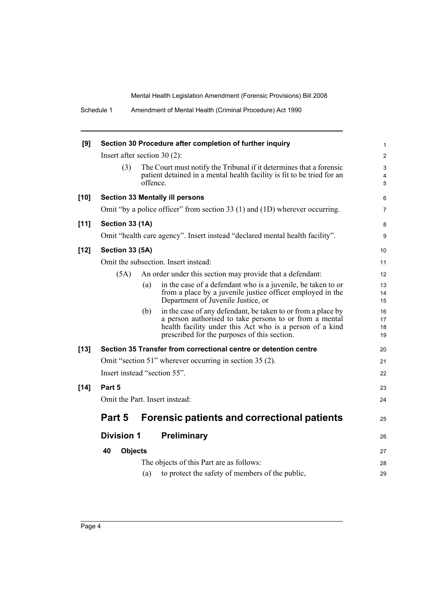Schedule 1 Amendment of Mental Health (Criminal Procedure) Act 1990

| [9]    |                                |          | Section 30 Procedure after completion of further inquiry                                                                                                                                                                            | $\mathbf{1}$                      |
|--------|--------------------------------|----------|-------------------------------------------------------------------------------------------------------------------------------------------------------------------------------------------------------------------------------------|-----------------------------------|
|        | Insert after section $30(2)$ : |          |                                                                                                                                                                                                                                     |                                   |
|        | (3)                            | offence. | The Court must notify the Tribunal if it determines that a forensic<br>patient detained in a mental health facility is fit to be tried for an                                                                                       | 3<br>$\overline{\mathbf{4}}$<br>5 |
| $[10]$ |                                |          | <b>Section 33 Mentally ill persons</b>                                                                                                                                                                                              | 6                                 |
|        |                                |          | Omit "by a police officer" from section 33 (1) and (1D) wherever occurring.                                                                                                                                                         | $\overline{7}$                    |
| $[11]$ | Section 33 (1A)                |          |                                                                                                                                                                                                                                     | 8                                 |
|        |                                |          | Omit "health care agency". Insert instead "declared mental health facility".                                                                                                                                                        | 9                                 |
| $[12]$ | Section 33 (5A)                |          |                                                                                                                                                                                                                                     | 10                                |
|        |                                |          | Omit the subsection. Insert instead:                                                                                                                                                                                                | 11                                |
|        | (5A)                           |          | An order under this section may provide that a defendant:                                                                                                                                                                           | 12                                |
|        |                                | (a)      | in the case of a defendant who is a juvenile, be taken to or<br>from a place by a juvenile justice officer employed in the<br>Department of Juvenile Justice, or                                                                    | 13<br>14<br>15                    |
|        |                                | (b)      | in the case of any defendant, be taken to or from a place by<br>a person authorised to take persons to or from a mental<br>health facility under this Act who is a person of a kind<br>prescribed for the purposes of this section. | 16<br>17<br>18<br>19              |
| $[13]$ |                                |          | Section 35 Transfer from correctional centre or detention centre                                                                                                                                                                    | 20                                |
|        |                                |          | Omit "section 51" wherever occurring in section 35 (2).                                                                                                                                                                             | 21                                |
|        | Insert instead "section 55".   |          |                                                                                                                                                                                                                                     | 22                                |
| $[14]$ | Part 5                         |          |                                                                                                                                                                                                                                     | 23                                |
|        |                                |          | Omit the Part. Insert instead:                                                                                                                                                                                                      | 24                                |
|        | Part 5                         |          | <b>Forensic patients and correctional patients</b>                                                                                                                                                                                  | 25                                |
|        | <b>Division 1</b>              |          | <b>Preliminary</b>                                                                                                                                                                                                                  | 26                                |
|        | 40<br><b>Objects</b>           |          |                                                                                                                                                                                                                                     | 27                                |
|        |                                |          | The objects of this Part are as follows:                                                                                                                                                                                            | 28                                |
|        |                                | (a)      | to protect the safety of members of the public,                                                                                                                                                                                     | 29                                |
|        |                                |          |                                                                                                                                                                                                                                     |                                   |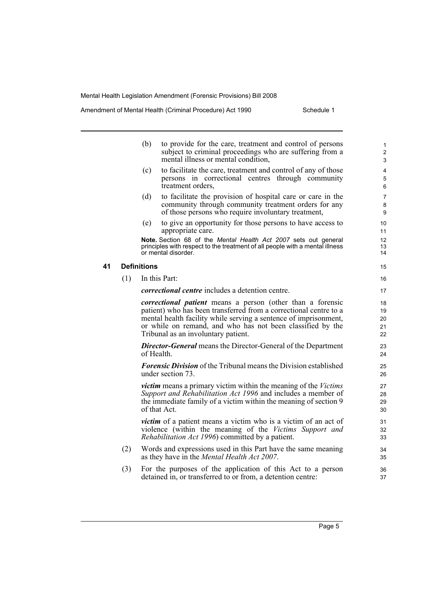Amendment of Mental Health (Criminal Procedure) Act 1990 Schedule 1

|    |     | (b)                | to provide for the care, treatment and control of persons<br>subject to criminal proceedings who are suffering from a<br>mental illness or mental condition,                                                                                                                                                    | $\mathbf{1}$<br>$\overline{2}$<br>3 |
|----|-----|--------------------|-----------------------------------------------------------------------------------------------------------------------------------------------------------------------------------------------------------------------------------------------------------------------------------------------------------------|-------------------------------------|
|    |     | (c)                | to facilitate the care, treatment and control of any of those<br>persons in correctional centres through community<br>treatment orders,                                                                                                                                                                         | 4<br>5<br>$\,6$                     |
|    |     | (d)                | to facilitate the provision of hospital care or care in the<br>community through community treatment orders for any<br>of those persons who require involuntary treatment,                                                                                                                                      | $\overline{7}$<br>8<br>9            |
|    |     | (e)                | to give an opportunity for those persons to have access to<br>appropriate care.                                                                                                                                                                                                                                 | 10<br>11                            |
|    |     |                    | Note. Section 68 of the Mental Health Act 2007 sets out general<br>principles with respect to the treatment of all people with a mental illness<br>or mental disorder.                                                                                                                                          | 12<br>13<br>14                      |
| 41 |     | <b>Definitions</b> |                                                                                                                                                                                                                                                                                                                 | 15                                  |
|    | (1) |                    | In this Part:                                                                                                                                                                                                                                                                                                   | 16                                  |
|    |     |                    | <i>correctional centre</i> includes a detention centre.                                                                                                                                                                                                                                                         | 17                                  |
|    |     |                    | <i>correctional patient</i> means a person (other than a forensic<br>patient) who has been transferred from a correctional centre to a<br>mental health facility while serving a sentence of imprisonment,<br>or while on remand, and who has not been classified by the<br>Tribunal as an involuntary patient. | 18<br>19<br>20<br>21<br>22          |
|    |     |                    | <b>Director-General</b> means the Director-General of the Department<br>of Health.                                                                                                                                                                                                                              | 23<br>24                            |
|    |     |                    | <b>Forensic Division</b> of the Tribunal means the Division established<br>under section 73.                                                                                                                                                                                                                    | 25<br>26                            |
|    |     |                    | <i>victim</i> means a primary victim within the meaning of the <i>Victims</i><br>Support and Rehabilitation Act 1996 and includes a member of<br>the immediate family of a victim within the meaning of section 9<br>of that Act.                                                                               | 27<br>28<br>29<br>30                |
|    |     |                    | <i>victim</i> of a patient means a victim who is a victim of an act of<br>violence (within the meaning of the Victims Support and<br><i>Rehabilitation Act 1996</i> ) committed by a patient.                                                                                                                   | 31<br>32<br>33                      |
|    | (2) |                    | Words and expressions used in this Part have the same meaning<br>as they have in the Mental Health Act 2007.                                                                                                                                                                                                    | 34<br>35                            |
|    | (3) |                    | For the purposes of the application of this Act to a person<br>detained in, or transferred to or from, a detention centre:                                                                                                                                                                                      | 36<br>37                            |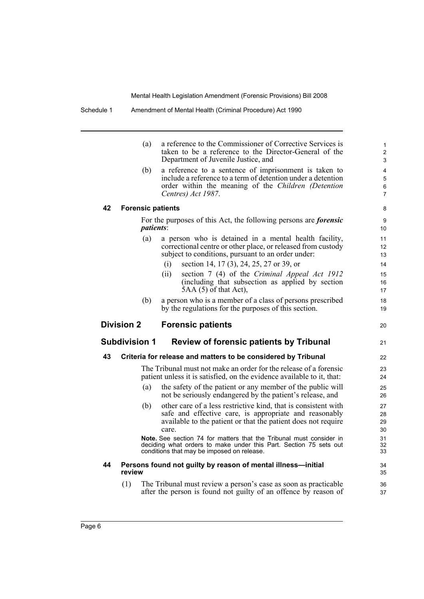|    | (a)                      | a reference to the Commissioner of Corrective Services is<br>taken to be a reference to the Director-General of the<br>Department of Juvenile Justice, and                                         | $\mathbf{1}$<br>$\overline{2}$<br>3 |
|----|--------------------------|----------------------------------------------------------------------------------------------------------------------------------------------------------------------------------------------------|-------------------------------------|
|    | (b)                      | a reference to a sentence of imprisonment is taken to<br>include a reference to a term of detention under a detention<br>order within the meaning of the Children (Detention<br>Centres) Act 1987. | 4<br>5<br>6<br>$\overline{7}$       |
| 42 | <b>Forensic patients</b> |                                                                                                                                                                                                    | 8                                   |
|    | <i>patients:</i>         | For the purposes of this Act, the following persons are <i>forensic</i>                                                                                                                            | 9<br>10                             |
|    | (a)                      | a person who is detained in a mental health facility,<br>correctional centre or other place, or released from custody<br>subject to conditions, pursuant to an order under:                        | 11<br>12<br>13                      |
|    |                          | section 14, 17 (3), 24, 25, 27 or 39, or<br>(i)                                                                                                                                                    | 14                                  |
|    |                          | section 7 (4) of the Criminal Appeal Act 1912<br>(ii)<br>(including that subsection as applied by section<br>$5AA(5)$ of that Act),                                                                | 15<br>16<br>17                      |
|    | (b)                      | a person who is a member of a class of persons prescribed<br>by the regulations for the purposes of this section.                                                                                  | 18<br>19                            |
|    | <b>Division 2</b>        | <b>Forensic patients</b>                                                                                                                                                                           | 20                                  |
|    | Subdivision 1            | <b>Review of forensic patients by Tribunal</b>                                                                                                                                                     | 21                                  |
| 43 |                          | Criteria for release and matters to be considered by Tribunal                                                                                                                                      | 22                                  |
|    |                          |                                                                                                                                                                                                    |                                     |
|    |                          | The Tribunal must not make an order for the release of a forensic<br>patient unless it is satisfied, on the evidence available to it, that:                                                        | 23<br>24                            |
|    | (a)                      | the safety of the patient or any member of the public will<br>not be seriously endangered by the patient's release, and                                                                            | 25<br>26                            |
|    | (b)                      | other care of a less restrictive kind, that is consistent with<br>safe and effective care, is appropriate and reasonably<br>available to the patient or that the patient does not require<br>care. | 27<br>28<br>29<br>30                |
|    |                          | <b>Note.</b> See section 74 for matters that the Tribunal must consider in<br>deciding what orders to make under this Part. Section 75 sets out<br>conditions that may be imposed on release.      |                                     |
| 44 | review                   | Persons found not guilty by reason of mental illness-initial                                                                                                                                       | 31<br>32<br>33<br>34<br>35          |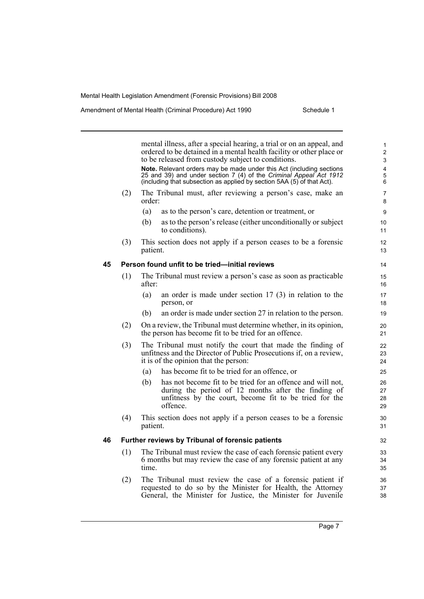mental illness, after a special hearing, a trial or on an appeal, and ordered to be detained in a mental health facility or other place or to be released from custody subject to conditions. **Note.** Relevant orders may be made under this Act (including sections 25 and 39) and under section 7 (4) of the *Criminal Appeal Act 1912* (including that subsection as applied by section 5AA (5) of that Act). (2) The Tribunal must, after reviewing a person's case, make an order: (a) as to the person's care, detention or treatment, or (b) as to the person's release (either unconditionally or subject to conditions). (3) This section does not apply if a person ceases to be a forensic patient. **45 Person found unfit to be tried—initial reviews** (1) The Tribunal must review a person's case as soon as practicable after: (a) an order is made under section 17 (3) in relation to the person, or (b) an order is made under section 27 in relation to the person. (2) On a review, the Tribunal must determine whether, in its opinion, the person has become fit to be tried for an offence. (3) The Tribunal must notify the court that made the finding of unfitness and the Director of Public Prosecutions if, on a review, it is of the opinion that the person: (a) has become fit to be tried for an offence, or (b) has not become fit to be tried for an offence and will not, during the period of 12 months after the finding of unfitness by the court, become fit to be tried for the offence. (4) This section does not apply if a person ceases to be a forensic patient. **46 Further reviews by Tribunal of forensic patients** (1) The Tribunal must review the case of each forensic patient every 6 months but may review the case of any forensic patient at any time. (2) The Tribunal must review the case of a forensic patient if requested to do so by the Minister for Health, the Attorney General, the Minister for Justice, the Minister for Juvenile 1 2 3 4 5 6 7 8 9 10 11 12 13 14 15 16 17 18 19 20 21 22 23 24 25 26 27 28 29 30 31 32 33 34 35 36 37 38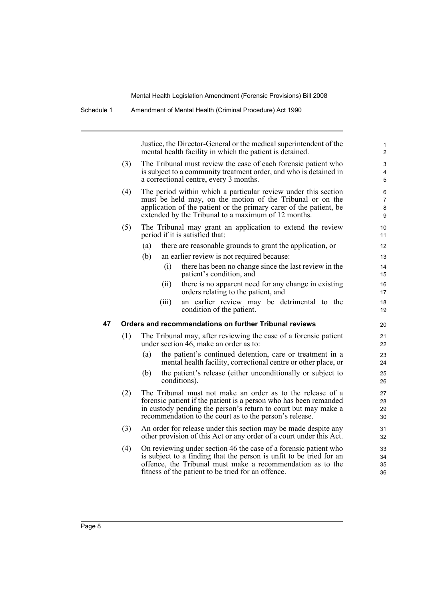Justice, the Director-General or the medical superintendent of the mental health facility in which the patient is detained.

- (3) The Tribunal must review the case of each forensic patient who is subject to a community treatment order, and who is detained in a correctional centre, every 3 months.
- (4) The period within which a particular review under this section must be held may, on the motion of the Tribunal or on the application of the patient or the primary carer of the patient, be extended by the Tribunal to a maximum of 12 months.
- (5) The Tribunal may grant an application to extend the review period if it is satisfied that:
	- (a) there are reasonable grounds to grant the application, or
	- (b) an earlier review is not required because:
		- (i) there has been no change since the last review in the patient's condition, and
		- (ii) there is no apparent need for any change in existing orders relating to the patient, and
		- (iii) an earlier review may be detrimental to the condition of the patient.

#### **47 Orders and recommendations on further Tribunal reviews**

- (1) The Tribunal may, after reviewing the case of a forensic patient under section 46, make an order as to:
	- (a) the patient's continued detention, care or treatment in a mental health facility, correctional centre or other place, or
	- (b) the patient's release (either unconditionally or subject to conditions).
- (2) The Tribunal must not make an order as to the release of a forensic patient if the patient is a person who has been remanded in custody pending the person's return to court but may make a recommendation to the court as to the person's release.
- (3) An order for release under this section may be made despite any other provision of this Act or any order of a court under this Act.
- (4) On reviewing under section 46 the case of a forensic patient who is subject to a finding that the person is unfit to be tried for an offence, the Tribunal must make a recommendation as to the fitness of the patient to be tried for an offence.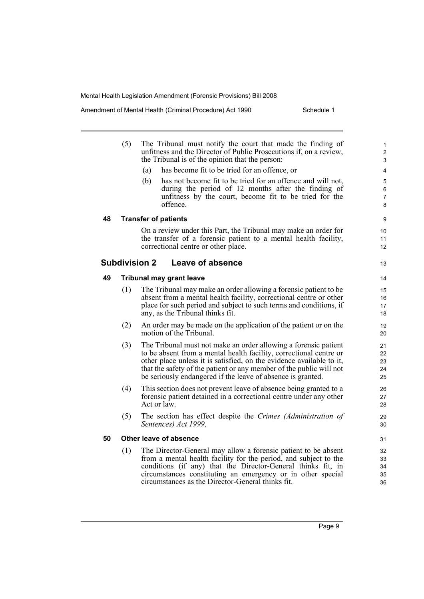Amendment of Mental Health (Criminal Procedure) Act 1990 Schedule 1

|    | (5) | The Tribunal must notify the court that made the finding of<br>unfitness and the Director of Public Prosecutions if, on a review,<br>the Tribunal is of the opinion that the person:<br>has become fit to be tried for an offence, or<br>(a)<br>(b)<br>has not become fit to be tried for an offence and will not,<br>during the period of 12 months after the finding of<br>unfitness by the court, become fit to be tried for the<br>offence. | 1<br>$\boldsymbol{2}$<br>3<br>4<br>$\mathbf 5$<br>$\,6\,$<br>7<br>8 |
|----|-----|-------------------------------------------------------------------------------------------------------------------------------------------------------------------------------------------------------------------------------------------------------------------------------------------------------------------------------------------------------------------------------------------------------------------------------------------------|---------------------------------------------------------------------|
| 48 |     | <b>Transfer of patients</b>                                                                                                                                                                                                                                                                                                                                                                                                                     | 9                                                                   |
|    |     | On a review under this Part, the Tribunal may make an order for<br>the transfer of a forensic patient to a mental health facility,<br>correctional centre or other place.                                                                                                                                                                                                                                                                       | 10<br>11<br>12                                                      |
|    |     | <b>Subdivision 2</b><br>Leave of absence                                                                                                                                                                                                                                                                                                                                                                                                        | 13                                                                  |
| 49 |     | <b>Tribunal may grant leave</b>                                                                                                                                                                                                                                                                                                                                                                                                                 | 14                                                                  |
|    | (1) | The Tribunal may make an order allowing a forensic patient to be.<br>absent from a mental health facility, correctional centre or other<br>place for such period and subject to such terms and conditions, if<br>any, as the Tribunal thinks fit.                                                                                                                                                                                               | 15<br>16<br>17<br>18                                                |
|    | (2) | An order may be made on the application of the patient or on the<br>motion of the Tribunal.                                                                                                                                                                                                                                                                                                                                                     | 19<br>20                                                            |
|    | (3) | The Tribunal must not make an order allowing a forensic patient<br>to be absent from a mental health facility, correctional centre or<br>other place unless it is satisfied, on the evidence available to it,<br>that the safety of the patient or any member of the public will not<br>be seriously endangered if the leave of absence is granted.                                                                                             | 21<br>22<br>23<br>24<br>25                                          |
|    | (4) | This section does not prevent leave of absence being granted to a<br>forensic patient detained in a correctional centre under any other<br>Act or law.                                                                                                                                                                                                                                                                                          | 26<br>27<br>28                                                      |
|    | (5) | The section has effect despite the Crimes (Administration of<br>Sentences) Act 1999.                                                                                                                                                                                                                                                                                                                                                            | 29<br>30                                                            |
| 50 |     | Other leave of absence                                                                                                                                                                                                                                                                                                                                                                                                                          | 31                                                                  |
|    | (1) | The Director-General may allow a forensic patient to be absent<br>from a mental health facility for the period, and subject to the<br>conditions (if any) that the Director-General thinks fit, in<br>circumstances constituting an emergency or in other special<br>circumstances as the Director-General thinks fit.                                                                                                                          | 32<br>33<br>34<br>35<br>36                                          |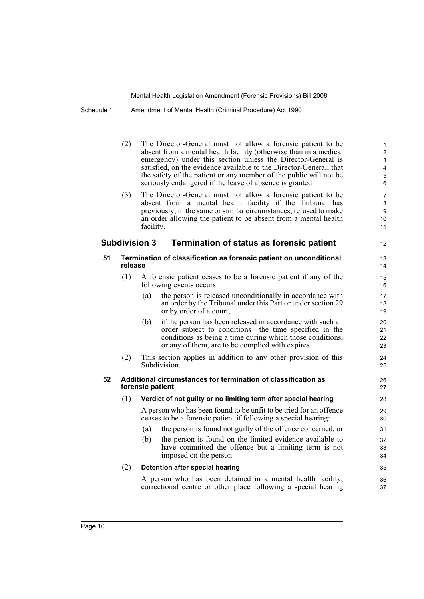#### Schedule 1 Amendment of Mental Health (Criminal Procedure) Act 1990

|    | (2)     | The Director-General must not allow a forensic patient to be<br>absent from a mental health facility (otherwise than in a medical<br>emergency) under this section unless the Director-General is<br>satisfied, on the evidence available to the Director-General, that<br>the safety of the patient or any member of the public will not be<br>seriously endangered if the leave of absence is granted. | $\mathbf{1}$<br>2<br>3<br>4<br>$\mathbf 5$<br>6 |
|----|---------|----------------------------------------------------------------------------------------------------------------------------------------------------------------------------------------------------------------------------------------------------------------------------------------------------------------------------------------------------------------------------------------------------------|-------------------------------------------------|
|    | (3)     | The Director-General must not allow a forensic patient to be<br>absent from a mental health facility if the Tribunal has<br>previously, in the same or similar circumstances, refused to make<br>an order allowing the patient to be absent from a mental health<br>facility.                                                                                                                            | $\overline{7}$<br>8<br>9<br>10<br>11            |
|    |         | <b>Subdivision 3</b><br>Termination of status as forensic patient                                                                                                                                                                                                                                                                                                                                        | 12                                              |
| 51 | release | Termination of classification as forensic patient on unconditional                                                                                                                                                                                                                                                                                                                                       | 13<br>14                                        |
|    | (1)     | A forensic patient ceases to be a forensic patient if any of the<br>following events occurs:                                                                                                                                                                                                                                                                                                             | 15<br>16                                        |
|    |         | the person is released unconditionally in accordance with<br>(a)<br>an order by the Tribunal under this Part or under section 29<br>or by order of a court,                                                                                                                                                                                                                                              | 17<br>18<br>19                                  |
|    |         | if the person has been released in accordance with such an<br>(b)<br>order subject to conditions—the time specified in the<br>conditions as being a time during which those conditions,<br>or any of them, are to be complied with expires.                                                                                                                                                              | 20<br>21<br>22<br>23                            |
|    | (2)     | This section applies in addition to any other provision of this<br>Subdivision.                                                                                                                                                                                                                                                                                                                          | 24<br>25                                        |
| 52 |         | Additional circumstances for termination of classification as<br>forensic patient                                                                                                                                                                                                                                                                                                                        | 26<br>27                                        |
|    | (1)     | Verdict of not guilty or no limiting term after special hearing                                                                                                                                                                                                                                                                                                                                          | 28                                              |
|    |         | A person who has been found to be unfit to be tried for an offence<br>ceases to be a forensic patient if following a special hearing:                                                                                                                                                                                                                                                                    | 29<br>30                                        |
|    |         | the person is found not guilty of the offence concerned, or<br>(a)                                                                                                                                                                                                                                                                                                                                       | 31                                              |
|    |         | the person is found on the limited evidence available to<br>(b)<br>have committed the offence but a limiting term is not<br>imposed on the person.                                                                                                                                                                                                                                                       | 32<br>33<br>34                                  |
|    | (2)     | Detention after special hearing                                                                                                                                                                                                                                                                                                                                                                          | 35                                              |
|    |         | A person who has been detained in a mental health facility,                                                                                                                                                                                                                                                                                                                                              | 36                                              |

correctional centre or other place following a special hearing

37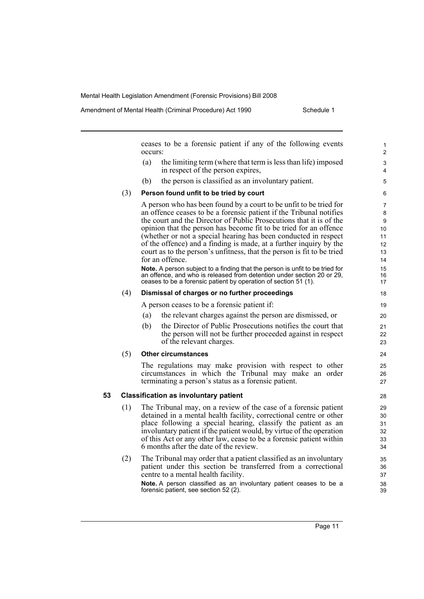Amendment of Mental Health (Criminal Procedure) Act 1990 Schedule 1

ceases to be a forensic patient if any of the following events occurs: (a) the limiting term (where that term is less than life) imposed in respect of the person expires, (b) the person is classified as an involuntary patient. (3) **Person found unfit to be tried by court** A person who has been found by a court to be unfit to be tried for an offence ceases to be a forensic patient if the Tribunal notifies the court and the Director of Public Prosecutions that it is of the opinion that the person has become fit to be tried for an offence (whether or not a special hearing has been conducted in respect of the offence) and a finding is made, at a further inquiry by the court as to the person's unfitness, that the person is fit to be tried for an offence. **Note.** A person subject to a finding that the person is unfit to be tried for an offence, and who is released from detention under section 20 or 29, ceases to be a forensic patient by operation of section 51 (1). (4) **Dismissal of charges or no further proceedings** A person ceases to be a forensic patient if: (a) the relevant charges against the person are dismissed, or (b) the Director of Public Prosecutions notifies the court that the person will not be further proceeded against in respect of the relevant charges. (5) **Other circumstances** The regulations may make provision with respect to other circumstances in which the Tribunal may make an order terminating a person's status as a forensic patient. **53 Classification as involuntary patient** (1) The Tribunal may, on a review of the case of a forensic patient detained in a mental health facility, correctional centre or other place following a special hearing, classify the patient as an involuntary patient if the patient would, by virtue of the operation of this Act or any other law, cease to be a forensic patient within 6 months after the date of the review. (2) The Tribunal may order that a patient classified as an involuntary patient under this section be transferred from a correctional centre to a mental health facility. **Note.** A person classified as an involuntary patient ceases to be a forensic patient, see section 52 (2). 1 2  $\overline{a}$ 4 5 6 7 8  $\alpha$ 10 11 12 13 14 15 16 17 18 19 20 21  $22$ 23 24 25 26 27 28 29 30 31 32 33 34 35 36 37 38 39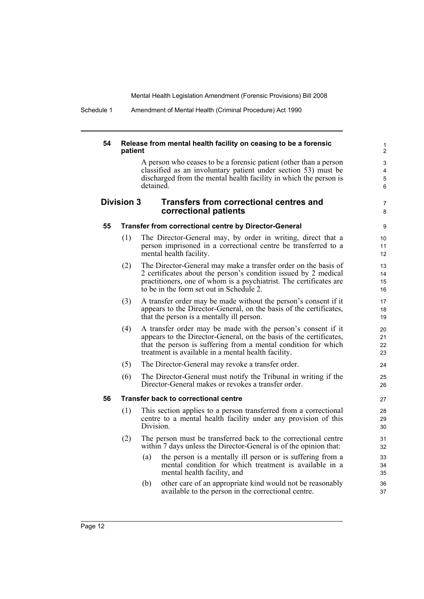Schedule 1 Amendment of Mental Health (Criminal Procedure) Act 1990

#### **54 Release from mental health facility on ceasing to be a forensic patient**

A person who ceases to be a forensic patient (other than a person classified as an involuntary patient under section 53) must be discharged from the mental health facility in which the person is detained.

7 8

#### **Division 3 Transfers from correctional centres and correctional patients**

#### **55 Transfer from correctional centre by Director-General**

- (1) The Director-General may, by order in writing, direct that a person imprisoned in a correctional centre be transferred to a mental health facility.
- (2) The Director-General may make a transfer order on the basis of 2 certificates about the person's condition issued by 2 medical practitioners, one of whom is a psychiatrist. The certificates are to be in the form set out in Schedule 2.
- (3) A transfer order may be made without the person's consent if it appears to the Director-General, on the basis of the certificates, that the person is a mentally ill person.
- (4) A transfer order may be made with the person's consent if it appears to the Director-General, on the basis of the certificates, that the person is suffering from a mental condition for which treatment is available in a mental health facility.
- (5) The Director-General may revoke a transfer order.
- (6) The Director-General must notify the Tribunal in writing if the Director-General makes or revokes a transfer order.

#### **56 Transfer back to correctional centre**

- (1) This section applies to a person transferred from a correctional centre to a mental health facility under any provision of this Division.
- (2) The person must be transferred back to the correctional centre within 7 days unless the Director-General is of the opinion that:
	- (a) the person is a mentally ill person or is suffering from a mental condition for which treatment is available in a mental health facility, and
	- (b) other care of an appropriate kind would not be reasonably available to the person in the correctional centre.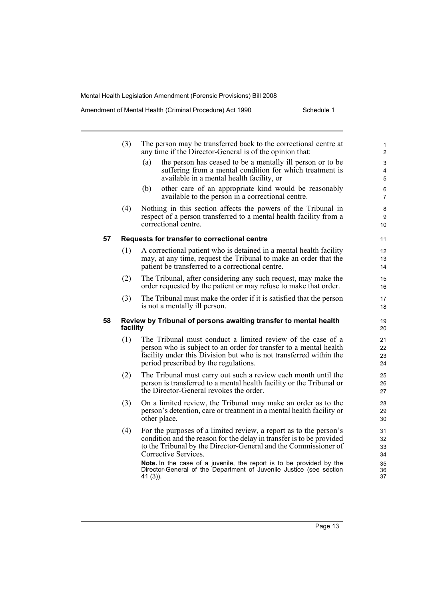|    | (3)      | The person may be transferred back to the correctional centre at<br>any time if the Director-General is of the opinion that:                                                                                                                    | $\mathbf{1}$<br>$\overline{2}$ |  |  |
|----|----------|-------------------------------------------------------------------------------------------------------------------------------------------------------------------------------------------------------------------------------------------------|--------------------------------|--|--|
|    |          | the person has ceased to be a mentally ill person or to be<br>(a)<br>suffering from a mental condition for which treatment is<br>available in a mental health facility, or                                                                      | 3<br>4<br>5                    |  |  |
|    |          | other care of an appropriate kind would be reasonably<br>(b)<br>available to the person in a correctional centre.                                                                                                                               | 6<br>$\overline{7}$            |  |  |
|    | (4)      | Nothing in this section affects the powers of the Tribunal in<br>respect of a person transferred to a mental health facility from a<br>correctional centre.                                                                                     |                                |  |  |
| 57 |          | Requests for transfer to correctional centre                                                                                                                                                                                                    | 11                             |  |  |
|    | (1)      | A correctional patient who is detained in a mental health facility<br>may, at any time, request the Tribunal to make an order that the<br>patient be transferred to a correctional centre.                                                      | 12<br>13<br>14                 |  |  |
|    | (2)      | The Tribunal, after considering any such request, may make the<br>order requested by the patient or may refuse to make that order.                                                                                                              | 15<br>16                       |  |  |
|    | (3)      | The Tribunal must make the order if it is satisfied that the person<br>is not a mentally ill person.                                                                                                                                            | 17<br>18                       |  |  |
| 58 | facility | Review by Tribunal of persons awaiting transfer to mental health                                                                                                                                                                                | 19<br>20                       |  |  |
|    | (1)      | The Tribunal must conduct a limited review of the case of a<br>person who is subject to an order for transfer to a mental health<br>facility under this Division but who is not transferred within the<br>period prescribed by the regulations. | 21<br>22<br>23<br>24           |  |  |
|    | (2)      | The Tribunal must carry out such a review each month until the<br>person is transferred to a mental health facility or the Tribunal or<br>the Director-General revokes the order.                                                               | 25<br>26<br>27                 |  |  |
|    | (3)      | On a limited review, the Tribunal may make an order as to the<br>person's detention, care or treatment in a mental health facility or<br>other place.                                                                                           | 28<br>29<br>30                 |  |  |
|    | (4)      | For the purposes of a limited review, a report as to the person's<br>condition and the reason for the delay in transfer is to be provided<br>to the Tribunal by the Director-General and the Commissioner of<br>Corrective Services.            | 31<br>32<br>33<br>34           |  |  |
|    |          | Note. In the case of a juvenile, the report is to be provided by the<br>Director-General of the Department of Juvenile Justice (see section<br>41 (3)).                                                                                         | 35<br>36<br>37                 |  |  |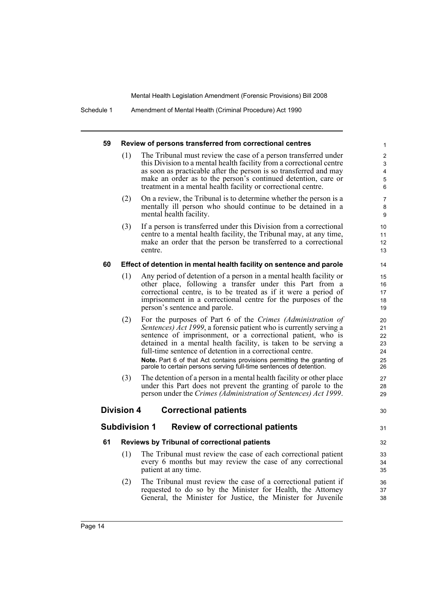Schedule 1 Amendment of Mental Health (Criminal Procedure) Act 1990

| 59 |                   | Review of persons transferred from correctional centres                                                                                                                                                                                                                                                                                                                                                    |                                  |
|----|-------------------|------------------------------------------------------------------------------------------------------------------------------------------------------------------------------------------------------------------------------------------------------------------------------------------------------------------------------------------------------------------------------------------------------------|----------------------------------|
|    | (1)               | The Tribunal must review the case of a person transferred under<br>this Division to a mental health facility from a correctional centre<br>as soon as practicable after the person is so transferred and may<br>make an order as to the person's continued detention, care or<br>treatment in a mental health facility or correctional centre.                                                             |                                  |
|    | (2)               | On a review, the Tribunal is to determine whether the person is a<br>mentally ill person who should continue to be detained in a<br>mental health facility.                                                                                                                                                                                                                                                |                                  |
|    | (3)               | If a person is transferred under this Division from a correctional<br>centre to a mental health facility, the Tribunal may, at any time,<br>make an order that the person be transferred to a correctional<br>centre.                                                                                                                                                                                      | 10<br>11<br>12<br>13             |
| 60 |                   | Effect of detention in mental health facility on sentence and parole                                                                                                                                                                                                                                                                                                                                       | 14                               |
|    | (1)               | Any period of detention of a person in a mental health facility or<br>other place, following a transfer under this Part from a<br>correctional centre, is to be treated as if it were a period of<br>imprisonment in a correctional centre for the purposes of the<br>person's sentence and parole.                                                                                                        | 15<br>16<br>17<br>18<br>19       |
|    | (2)               | For the purposes of Part 6 of the Crimes (Administration of<br>Sentences) Act 1999, a forensic patient who is currently serving a<br>sentence of imprisonment, or a correctional patient, who is<br>detained in a mental health facility, is taken to be serving a<br>full-time sentence of detention in a correctional centre.<br>Note. Part 6 of that Act contains provisions permitting the granting of | 20<br>21<br>22<br>23<br>24<br>25 |
|    | (3)               | parole to certain persons serving full-time sentences of detention.<br>The detention of a person in a mental health facility or other place<br>under this Part does not prevent the granting of parole to the<br>person under the Crimes (Administration of Sentences) Act 1999.                                                                                                                           | 26<br>27<br>28<br>29             |
|    | <b>Division 4</b> | <b>Correctional patients</b>                                                                                                                                                                                                                                                                                                                                                                               | 30                               |
|    |                   | <b>Subdivision 1</b><br><b>Review of correctional patients</b>                                                                                                                                                                                                                                                                                                                                             | 31                               |
| 61 |                   | Reviews by Tribunal of correctional patients                                                                                                                                                                                                                                                                                                                                                               | 32                               |
|    | (1)               | The Tribunal must review the case of each correctional patient<br>every 6 months but may review the case of any correctional<br>patient at any time.                                                                                                                                                                                                                                                       | 33<br>34<br>35                   |
|    | (2)               | The Tribunal must review the case of a correctional patient if<br>requested to do so by the Minister for Health, the Attorney<br>General, the Minister for Justice, the Minister for Juvenile                                                                                                                                                                                                              | 36<br>37<br>38                   |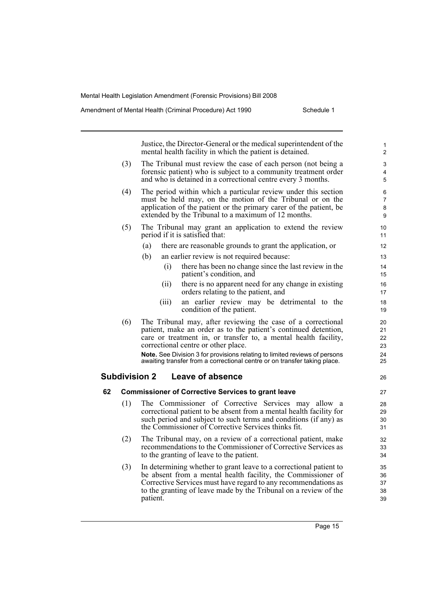Justice, the Director-General or the medical superintendent of the mental health facility in which the patient is detained. (3) The Tribunal must review the case of each person (not being a forensic patient) who is subject to a community treatment order and who is detained in a correctional centre every 3 months. (4) The period within which a particular review under this section must be held may, on the motion of the Tribunal or on the application of the patient or the primary carer of the patient, be extended by the Tribunal to a maximum of 12 months. (5) The Tribunal may grant an application to extend the review period if it is satisfied that: (a) there are reasonable grounds to grant the application, or (b) an earlier review is not required because: (i) there has been no change since the last review in the patient's condition, and (ii) there is no apparent need for any change in existing orders relating to the patient, and (iii) an earlier review may be detrimental to the condition of the patient. (6) The Tribunal may, after reviewing the case of a correctional patient, make an order as to the patient's continued detention, care or treatment in, or transfer to, a mental health facility, correctional centre or other place. **Note.** See Division 3 for provisions relating to limited reviews of persons awaiting transfer from a correctional centre or on transfer taking place. **Subdivision 2 Leave of absence 62 Commissioner of Corrective Services to grant leave** (1) The Commissioner of Corrective Services may allow a correctional patient to be absent from a mental health facility for such period and subject to such terms and conditions (if any) as the Commissioner of Corrective Services thinks fit. (2) The Tribunal may, on a review of a correctional patient, make recommendations to the Commissioner of Corrective Services as to the granting of leave to the patient. (3) In determining whether to grant leave to a correctional patient to be absent from a mental health facility, the Commissioner of Corrective Services must have regard to any recommendations as to the granting of leave made by the Tribunal on a review of the patient. 1  $\overline{2}$ 3 4 5 6 7 8 9 10 11 12 13 14 15 16 17 18 19 20 21 22 23 24 25 26 27 28 29 30 31 32 33 34 35 36 37 38 39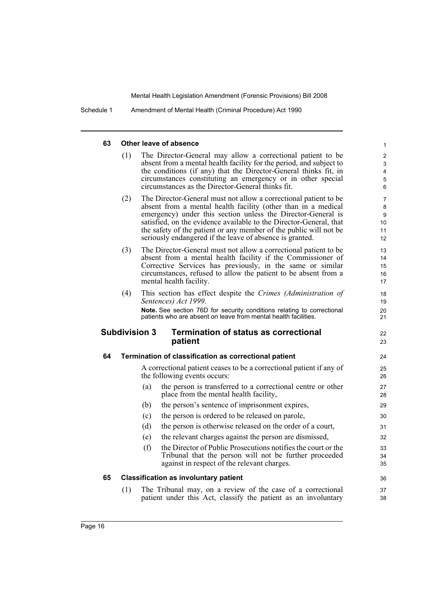Schedule 1 Amendment of Mental Health (Criminal Procedure) Act 1990

#### **63 Other leave of absence**

| 63 |     | Other leave of absence                                                                                                                                                                                                                                                                                                                                                                                   | 1                                          |
|----|-----|----------------------------------------------------------------------------------------------------------------------------------------------------------------------------------------------------------------------------------------------------------------------------------------------------------------------------------------------------------------------------------------------------------|--------------------------------------------|
|    | (1) | The Director-General may allow a correctional patient to be<br>absent from a mental health facility for the period, and subject to<br>the conditions (if any) that the Director-General thinks fit, in<br>circumstances constituting an emergency or in other special<br>circumstances as the Director-General thinks fit.                                                                               | 2<br>3<br>4<br>5<br>6                      |
|    | (2) | The Director-General must not allow a correctional patient to be<br>absent from a mental health facility (other than in a medical<br>emergency) under this section unless the Director-General is<br>satisfied, on the evidence available to the Director-General, that<br>the safety of the patient or any member of the public will not be<br>seriously endangered if the leave of absence is granted. | $\overline{7}$<br>8<br>9<br>10<br>11<br>12 |
|    | (3) | The Director-General must not allow a correctional patient to be<br>absent from a mental health facility if the Commissioner of<br>Corrective Services has previously, in the same or similar<br>circumstances, refused to allow the patient to be absent from a<br>mental health facility.                                                                                                              | 13<br>14<br>15<br>16<br>17                 |
|    | (4) | This section has effect despite the Crimes (Administration of<br>Sentences) Act 1999.<br>Note. See section 76D for security conditions relating to correctional<br>patients who are absent on leave from mental health facilities.                                                                                                                                                                       | 18<br>19<br>20<br>21                       |
|    |     |                                                                                                                                                                                                                                                                                                                                                                                                          |                                            |
|    |     | <b>Termination of status as correctional</b><br><b>Subdivision 3</b><br>patient                                                                                                                                                                                                                                                                                                                          | 22<br>23                                   |
| 64 |     | Termination of classification as correctional patient                                                                                                                                                                                                                                                                                                                                                    | 24                                         |
|    |     | A correctional patient ceases to be a correctional patient if any of<br>the following events occurs:                                                                                                                                                                                                                                                                                                     | 25<br>26                                   |
|    |     | the person is transferred to a correctional centre or other<br>(a)<br>place from the mental health facility,                                                                                                                                                                                                                                                                                             | 27<br>28                                   |
|    |     | the person's sentence of imprisonment expires,<br>(b)                                                                                                                                                                                                                                                                                                                                                    | 29                                         |
|    |     | the person is ordered to be released on parole,<br>(c)                                                                                                                                                                                                                                                                                                                                                   | 30                                         |
|    |     | (d)<br>the person is otherwise released on the order of a court,                                                                                                                                                                                                                                                                                                                                         | 31                                         |
|    |     | the relevant charges against the person are dismissed,<br>(e)                                                                                                                                                                                                                                                                                                                                            | 32                                         |
|    |     | the Director of Public Prosecutions notifies the court or the<br>(f)<br>Tribunal that the person will not be further proceeded<br>against in respect of the relevant charges.                                                                                                                                                                                                                            | 33<br>34<br>35                             |
| 65 |     | <b>Classification as involuntary patient</b>                                                                                                                                                                                                                                                                                                                                                             | 36                                         |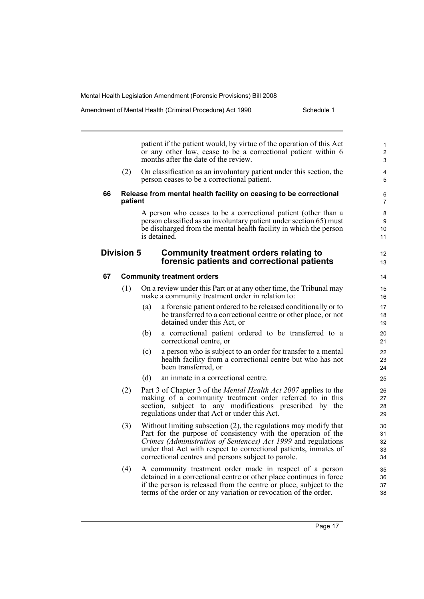patient if the patient would, by virtue of the operation of this Act or any other law, cease to be a correctional patient within 6 months after the date of the review. (2) On classification as an involuntary patient under this section, the person ceases to be a correctional patient. **66 Release from mental health facility on ceasing to be correctional patient** A person who ceases to be a correctional patient (other than a person classified as an involuntary patient under section 65) must be discharged from the mental health facility in which the person is detained. **Division 5 Community treatment orders relating to forensic patients and correctional patients 67 Community treatment orders** (1) On a review under this Part or at any other time, the Tribunal may make a community treatment order in relation to: (a) a forensic patient ordered to be released conditionally or to be transferred to a correctional centre or other place, or not detained under this Act, or (b) a correctional patient ordered to be transferred to a correctional centre, or (c) a person who is subject to an order for transfer to a mental health facility from a correctional centre but who has not been transferred, or (d) an inmate in a correctional centre. (2) Part 3 of Chapter 3 of the *Mental Health Act 2007* applies to the making of a community treatment order referred to in this section, subject to any modifications prescribed by the regulations under that Act or under this Act. (3) Without limiting subsection (2), the regulations may modify that Part for the purpose of consistency with the operation of the *Crimes (Administration of Sentences) Act 1999* and regulations under that Act with respect to correctional patients, inmates of correctional centres and persons subject to parole. (4) A community treatment order made in respect of a person detained in a correctional centre or other place continues in force if the person is released from the centre or place, subject to the terms of the order or any variation or revocation of the order. 10 11 12 13 14 15 16 17 18 19 20 21 22 23 24 25 26 27 28 29 30 31 32 33 34 35 36 37 38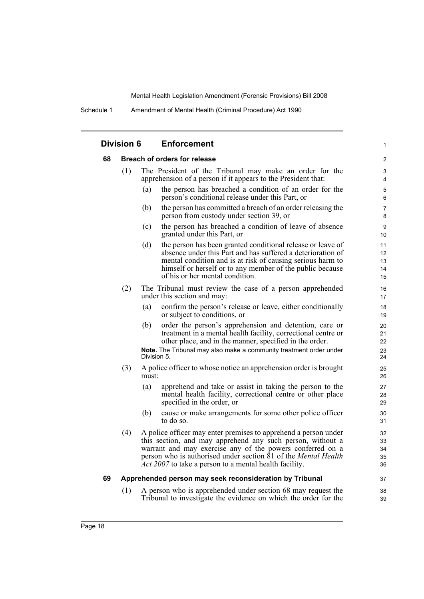Schedule 1 Amendment of Mental Health (Criminal Procedure) Act 1990

|    | <b>Division 6</b>                   |       | <b>Enforcement</b>                                                                                                                                                                                                                                                                                                                   | 1                          |  |
|----|-------------------------------------|-------|--------------------------------------------------------------------------------------------------------------------------------------------------------------------------------------------------------------------------------------------------------------------------------------------------------------------------------------|----------------------------|--|
| 68 | <b>Breach of orders for release</b> |       |                                                                                                                                                                                                                                                                                                                                      |                            |  |
|    | (1)                                 |       | The President of the Tribunal may make an order for the<br>apprehension of a person if it appears to the President that:                                                                                                                                                                                                             | 3<br>4                     |  |
|    |                                     | (a)   | the person has breached a condition of an order for the<br>person's conditional release under this Part, or                                                                                                                                                                                                                          | 5<br>6                     |  |
|    |                                     | (b)   | the person has committed a breach of an order releasing the<br>person from custody under section 39, or                                                                                                                                                                                                                              | $\overline{7}$<br>8        |  |
|    |                                     | (c)   | the person has breached a condition of leave of absence<br>granted under this Part, or                                                                                                                                                                                                                                               | 9<br>10                    |  |
|    |                                     | (d)   | the person has been granted conditional release or leave of<br>absence under this Part and has suffered a deterioration of<br>mental condition and is at risk of causing serious harm to<br>himself or herself or to any member of the public because<br>of his or her mental condition.                                             | 11<br>12<br>13<br>14<br>15 |  |
|    | (2)                                 |       | The Tribunal must review the case of a person apprehended<br>under this section and may:                                                                                                                                                                                                                                             | 16<br>17                   |  |
|    |                                     | (a)   | confirm the person's release or leave, either conditionally<br>or subject to conditions, or                                                                                                                                                                                                                                          | 18<br>19                   |  |
|    |                                     | (b)   | order the person's apprehension and detention, care or<br>treatment in a mental health facility, correctional centre or<br>other place, and in the manner, specified in the order.                                                                                                                                                   | 20<br>21<br>22             |  |
|    |                                     |       | Note. The Tribunal may also make a community treatment order under<br>Division 5.                                                                                                                                                                                                                                                    | 23<br>24                   |  |
|    | (3)                                 | must: | A police officer to whose notice an apprehension order is brought                                                                                                                                                                                                                                                                    | 25<br>26                   |  |
|    |                                     | (a)   | apprehend and take or assist in taking the person to the<br>mental health facility, correctional centre or other place<br>specified in the order, or                                                                                                                                                                                 | 27<br>28<br>29             |  |
|    |                                     | (b)   | cause or make arrangements for some other police officer<br>to do so.                                                                                                                                                                                                                                                                | 30<br>31                   |  |
|    | (4)                                 |       | A police officer may enter premises to apprehend a person under<br>this section, and may apprehend any such person, without a<br>warrant and may exercise any of the powers conferred on a<br>person who is authorised under section 81 of the <i>Mental Health</i><br><i>Act 2007</i> to take a person to a mental health facility. | 32<br>33<br>34<br>35<br>36 |  |
| 69 |                                     |       | Apprehended person may seek reconsideration by Tribunal                                                                                                                                                                                                                                                                              | 37                         |  |
|    | (1)                                 |       | A person who is apprehended under section 68 may request the<br>Tribunal to investigate the evidence on which the order for the                                                                                                                                                                                                      | 38<br>39                   |  |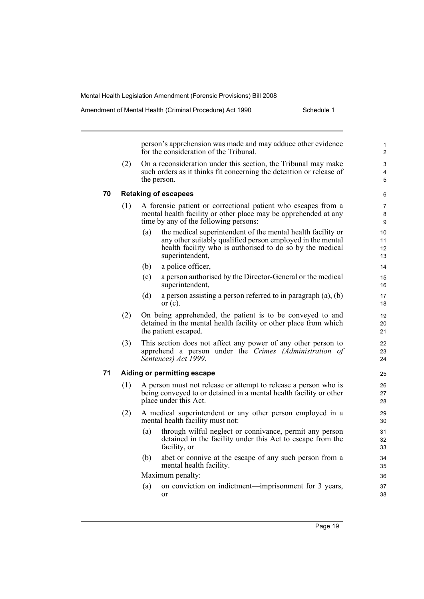person's apprehension was made and may adduce other evidence for the consideration of the Tribunal. (2) On a reconsideration under this section, the Tribunal may make such orders as it thinks fit concerning the detention or release of the person. **70 Retaking of escapees** (1) A forensic patient or correctional patient who escapes from a mental health facility or other place may be apprehended at any time by any of the following persons: (a) the medical superintendent of the mental health facility or any other suitably qualified person employed in the mental health facility who is authorised to do so by the medical superintendent, (b) a police officer, (c) a person authorised by the Director-General or the medical superintendent, (d) a person assisting a person referred to in paragraph (a), (b) or  $(c)$ . (2) On being apprehended, the patient is to be conveyed to and detained in the mental health facility or other place from which the patient escaped. (3) This section does not affect any power of any other person to apprehend a person under the *Crimes (Administration of Sentences) Act 1999*. **71 Aiding or permitting escape** (1) A person must not release or attempt to release a person who is being conveyed to or detained in a mental health facility or other place under this Act. (2) A medical superintendent or any other person employed in a mental health facility must not: (a) through wilful neglect or connivance, permit any person detained in the facility under this Act to escape from the facility, or (b) abet or connive at the escape of any such person from a mental health facility. Maximum penalty: (a) on conviction on indictment—imprisonment for 3 years, or 1  $\overline{2}$ 3 4 5 6 7 8 9 10 11 12 13 14 15 16 17 18 19  $20$ 21 22 23 24 25 26 27 28 29 30 31 32 33  $34$ 35 36 37 38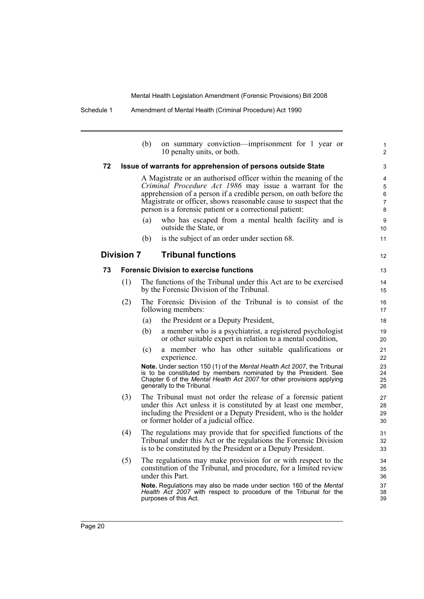|    |                   | (b) | on summary conviction—imprisonment for 1 year or<br>10 penalty units, or both.                                                                                                                                                                                                                                                  | $\mathbf{1}$<br>$\overline{c}$     |
|----|-------------------|-----|---------------------------------------------------------------------------------------------------------------------------------------------------------------------------------------------------------------------------------------------------------------------------------------------------------------------------------|------------------------------------|
| 72 |                   |     | Issue of warrants for apprehension of persons outside State                                                                                                                                                                                                                                                                     | 3                                  |
|    |                   |     | A Magistrate or an authorised officer within the meaning of the<br>Criminal Procedure Act 1986 may issue a warrant for the<br>apprehension of a person if a credible person, on oath before the<br>Magistrate or officer, shows reasonable cause to suspect that the<br>person is a forensic patient or a correctional patient: | 4<br>5<br>6<br>$\overline{7}$<br>8 |
|    |                   | (a) | who has escaped from a mental health facility and is<br>outside the State, or                                                                                                                                                                                                                                                   | 9<br>10                            |
|    |                   | (b) | is the subject of an order under section 68.                                                                                                                                                                                                                                                                                    | 11                                 |
|    | <b>Division 7</b> |     | <b>Tribunal functions</b>                                                                                                                                                                                                                                                                                                       | 12                                 |
| 73 |                   |     | <b>Forensic Division to exercise functions</b>                                                                                                                                                                                                                                                                                  | 13                                 |
|    | (1)               |     | The functions of the Tribunal under this Act are to be exercised<br>by the Forensic Division of the Tribunal.                                                                                                                                                                                                                   | 14<br>15                           |
|    | (2)               |     | The Forensic Division of the Tribunal is to consist of the<br>following members:                                                                                                                                                                                                                                                | 16<br>17                           |
|    |                   | (a) | the President or a Deputy President,                                                                                                                                                                                                                                                                                            | 18                                 |
|    |                   | (b) | a member who is a psychiatrist, a registered psychologist<br>or other suitable expert in relation to a mental condition,                                                                                                                                                                                                        | 19<br>20                           |
|    |                   | (c) | a member who has other suitable qualifications or<br>experience.                                                                                                                                                                                                                                                                | 21<br>22                           |
|    |                   |     | Note. Under section 150 (1) of the Mental Health Act 2007, the Tribunal<br>is to be constituted by members nominated by the President. See<br>Chapter 6 of the Mental Health Act 2007 for other provisions applying<br>generally to the Tribunal.                                                                               | 23<br>24<br>25<br>26               |
|    | (3)               |     | The Tribunal must not order the release of a forensic patient<br>under this Act unless it is constituted by at least one member,<br>including the President or a Deputy President, who is the holder<br>or former holder of a judicial office.                                                                                  | 27<br>28<br>29<br>30               |
|    | (4)               |     | The regulations may provide that for specified functions of the<br>Tribunal under this Act or the regulations the Forensic Division<br>is to be constituted by the President or a Deputy President.                                                                                                                             | 31<br>32<br>33                     |
|    | (5)               |     | The regulations may make provision for or with respect to the<br>constitution of the Tribunal, and procedure, for a limited review<br>under this Part.                                                                                                                                                                          | 34<br>35<br>36                     |
|    |                   |     | <b>Note.</b> Regulations may also be made under section 160 of the Mental<br>Health Act 2007 with respect to procedure of the Tribunal for the<br>purposes of this Act.                                                                                                                                                         | 37<br>38<br>39                     |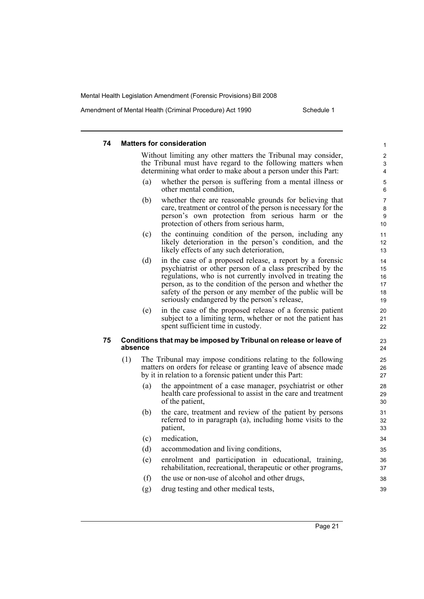Amendment of Mental Health (Criminal Procedure) Act 1990 Schedule 1

#### **74 Matters for consideration** Without limiting any other matters the Tribunal may consider, the Tribunal must have regard to the following matters when determining what order to make about a person under this Part: (a) whether the person is suffering from a mental illness or other mental condition, (b) whether there are reasonable grounds for believing that care, treatment or control of the person is necessary for the person's own protection from serious harm or the protection of others from serious harm, (c) the continuing condition of the person, including any likely deterioration in the person's condition, and the likely effects of any such deterioration, (d) in the case of a proposed release, a report by a forensic psychiatrist or other person of a class prescribed by the regulations, who is not currently involved in treating the person, as to the condition of the person and whether the safety of the person or any member of the public will be seriously endangered by the person's release, (e) in the case of the proposed release of a forensic patient subject to a limiting term, whether or not the patient has spent sufficient time in custody. **75 Conditions that may be imposed by Tribunal on release or leave of absence** (1) The Tribunal may impose conditions relating to the following matters on orders for release or granting leave of absence made by it in relation to a forensic patient under this Part: (a) the appointment of a case manager, psychiatrist or other health care professional to assist in the care and treatment of the patient, (b) the care, treatment and review of the patient by persons referred to in paragraph (a), including home visits to the patient, (c) medication, (d) accommodation and living conditions, (e) enrolment and participation in educational, training, rehabilitation, recreational, therapeutic or other programs, (f) the use or non-use of alcohol and other drugs, (g) drug testing and other medical tests, 1 2 3 4 5 6 7 8 9 10 11 12 13  $14$ 15 16 17 18 19 20 21 22  $23$ 24 25 26 27 28 29 30 31 32 33 34 35 36 37 38 39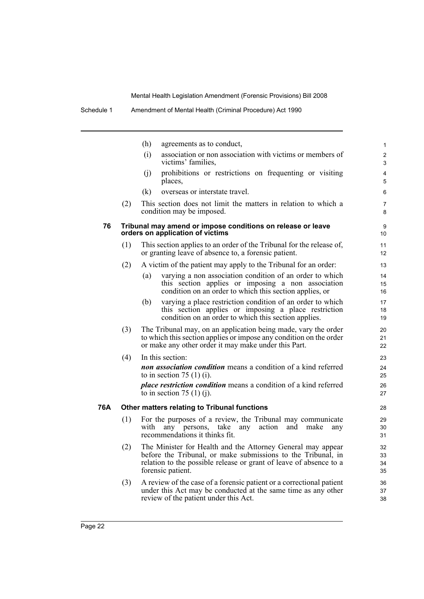|     |     | (h)<br>agreements as to conduct,                                                                                                                                                                                       | $\mathbf{1}$         |
|-----|-----|------------------------------------------------------------------------------------------------------------------------------------------------------------------------------------------------------------------------|----------------------|
|     |     | (i)<br>association or non association with victims or members of<br>victims' families.                                                                                                                                 | $\overline{2}$<br>3  |
|     |     | prohibitions or restrictions on frequenting or visiting<br>(j)<br>places,                                                                                                                                              | 4<br>5               |
|     |     | (k)<br>overseas or interstate travel.                                                                                                                                                                                  | 6                    |
|     | (2) | This section does not limit the matters in relation to which a<br>condition may be imposed.                                                                                                                            | $\overline{7}$<br>8  |
| 76  |     | Tribunal may amend or impose conditions on release or leave<br>orders on application of victims                                                                                                                        | 9<br>10              |
|     | (1) | This section applies to an order of the Tribunal for the release of,<br>or granting leave of absence to, a forensic patient.                                                                                           | 11<br>12             |
|     | (2) | A victim of the patient may apply to the Tribunal for an order:                                                                                                                                                        | 13                   |
|     |     | varying a non association condition of an order to which<br>(a)<br>this section applies or imposing a non association<br>condition on an order to which this section applies, or                                       | 14<br>15<br>16       |
|     |     | varying a place restriction condition of an order to which<br>(b)<br>this section applies or imposing a place restriction<br>condition on an order to which this section applies.                                      | 17<br>18<br>19       |
|     | (3) | The Tribunal may, on an application being made, vary the order<br>to which this section applies or impose any condition on the order<br>or make any other order it may make under this Part.                           | 20<br>21<br>22       |
|     | (4) | In this section:                                                                                                                                                                                                       | 23                   |
|     |     | non association condition means a condition of a kind referred<br>to in section 75 $(1)$ (i).                                                                                                                          | 24<br>25             |
|     |     | place restriction condition means a condition of a kind referred<br>to in section 75 $(1)$ (j).                                                                                                                        | 26<br>27             |
| 76A |     | Other matters relating to Tribunal functions                                                                                                                                                                           | 28                   |
|     | (1) | For the purposes of a review, the Tribunal may communicate<br>any persons, take any<br>action and<br>with<br>make<br>any<br>recommendations it thinks fit.                                                             | 29<br>30<br>31       |
|     | (2) | The Minister for Health and the Attorney General may appear<br>before the Tribunal, or make submissions to the Tribunal, in<br>relation to the possible release or grant of leave of absence to a<br>forensic patient. | 32<br>33<br>34<br>35 |
|     | (3) | A review of the case of a forensic patient or a correctional patient<br>under this Act may be conducted at the same time as any other<br>review of the patient under this Act.                                         | 36<br>37<br>38       |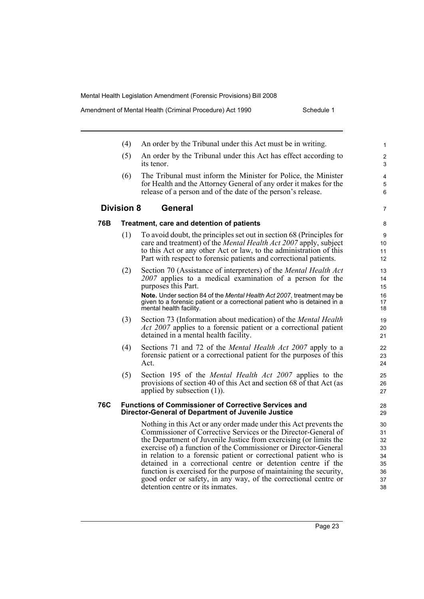detention centre or its inmates.

Amendment of Mental Health (Criminal Procedure) Act 1990 Schedule 1

|     | (4)               | An order by the Tribunal under this Act must be in writing.                                                                                                                                                                                                                                                                                                                                                                                                                                                                                              | 1                                            |
|-----|-------------------|----------------------------------------------------------------------------------------------------------------------------------------------------------------------------------------------------------------------------------------------------------------------------------------------------------------------------------------------------------------------------------------------------------------------------------------------------------------------------------------------------------------------------------------------------------|----------------------------------------------|
|     | (5)               | An order by the Tribunal under this Act has effect according to<br>its tenor.                                                                                                                                                                                                                                                                                                                                                                                                                                                                            | $\overline{c}$<br>3                          |
|     | (6)               | The Tribunal must inform the Minister for Police, the Minister<br>for Health and the Attorney General of any order it makes for the<br>release of a person and of the date of the person's release.                                                                                                                                                                                                                                                                                                                                                      | 4<br>5<br>6                                  |
|     | <b>Division 8</b> | <b>General</b>                                                                                                                                                                                                                                                                                                                                                                                                                                                                                                                                           | 7                                            |
| 76B |                   | Treatment, care and detention of patients                                                                                                                                                                                                                                                                                                                                                                                                                                                                                                                | 8                                            |
|     | (1)               | To avoid doubt, the principles set out in section 68 (Principles for<br>care and treatment) of the <i>Mental Health Act 2007</i> apply, subject<br>to this Act or any other Act or law, to the administration of this<br>Part with respect to forensic patients and correctional patients.                                                                                                                                                                                                                                                               | 9<br>10<br>11<br>12                          |
|     | (2)               | Section 70 (Assistance of interpreters) of the <i>Mental Health Act</i><br>2007 applies to a medical examination of a person for the<br>purposes this Part.<br>Note. Under section 84 of the Mental Health Act 2007, treatment may be<br>given to a forensic patient or a correctional patient who is detained in a<br>mental health facility.                                                                                                                                                                                                           | 13<br>14<br>15<br>16<br>17<br>18             |
|     | (3)               | Section 73 (Information about medication) of the <i>Mental Health</i><br><i>Act 2007</i> applies to a forensic patient or a correctional patient<br>detained in a mental health facility.                                                                                                                                                                                                                                                                                                                                                                | 19<br>20<br>21                               |
|     | (4)               | Sections 71 and 72 of the <i>Mental Health Act 2007</i> apply to a<br>forensic patient or a correctional patient for the purposes of this<br>Act.                                                                                                                                                                                                                                                                                                                                                                                                        | 22<br>23<br>24                               |
|     | (5)               | Section 195 of the <i>Mental Health Act 2007</i> applies to the<br>provisions of section 40 of this Act and section 68 of that Act (as<br>applied by subsection $(1)$ ).                                                                                                                                                                                                                                                                                                                                                                                 | 25<br>26<br>27                               |
| 76C |                   | <b>Functions of Commissioner of Corrective Services and</b><br><b>Director-General of Department of Juvenile Justice</b>                                                                                                                                                                                                                                                                                                                                                                                                                                 | 28<br>29                                     |
|     |                   | Nothing in this Act or any order made under this Act prevents the<br>Commissioner of Corrective Services or the Director-General of<br>the Department of Juvenile Justice from exercising (or limits the<br>exercise of) a function of the Commissioner or Director-General<br>in relation to a forensic patient or correctional patient who is<br>detained in a correctional centre or detention centre if the<br>function is exercised for the purpose of maintaining the security,<br>good order or safety, in any way, of the correctional centre or | 30<br>31<br>32<br>33<br>34<br>35<br>36<br>37 |

38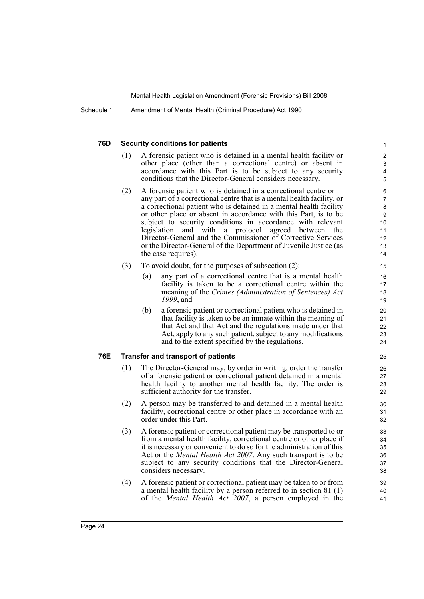Schedule 1 Amendment of Mental Health (Criminal Procedure) Act 1990

#### **76D Security conditions for patients**

(1) A forensic patient who is detained in a mental health facility or other place (other than a correctional centre) or absent in accordance with this Part is to be subject to any security conditions that the Director-General considers necessary.

- (2) A forensic patient who is detained in a correctional centre or in any part of a correctional centre that is a mental health facility, or a correctional patient who is detained in a mental health facility or other place or absent in accordance with this Part, is to be subject to security conditions in accordance with relevant legislation and with a protocol agreed between the Director-General and the Commissioner of Corrective Services or the Director-General of the Department of Juvenile Justice (as the case requires).
- (3) To avoid doubt, for the purposes of subsection (2):
	- (a) any part of a correctional centre that is a mental health facility is taken to be a correctional centre within the meaning of the *Crimes (Administration of Sentences) Act 1999*, and
	- (b) a forensic patient or correctional patient who is detained in that facility is taken to be an inmate within the meaning of that Act and that Act and the regulations made under that Act, apply to any such patient, subject to any modifications and to the extent specified by the regulations.

#### **76E Transfer and transport of patients**

- (1) The Director-General may, by order in writing, order the transfer of a forensic patient or correctional patient detained in a mental health facility to another mental health facility. The order is sufficient authority for the transfer.
- (2) A person may be transferred to and detained in a mental health facility, correctional centre or other place in accordance with an order under this Part.
- (3) A forensic patient or correctional patient may be transported to or from a mental health facility, correctional centre or other place if it is necessary or convenient to do so for the administration of this Act or the *Mental Health Act 2007*. Any such transport is to be subject to any security conditions that the Director-General considers necessary.
- (4) A forensic patient or correctional patient may be taken to or from a mental health facility by a person referred to in section 81 (1) of the *Mental Health Act 2007*, a person employed in the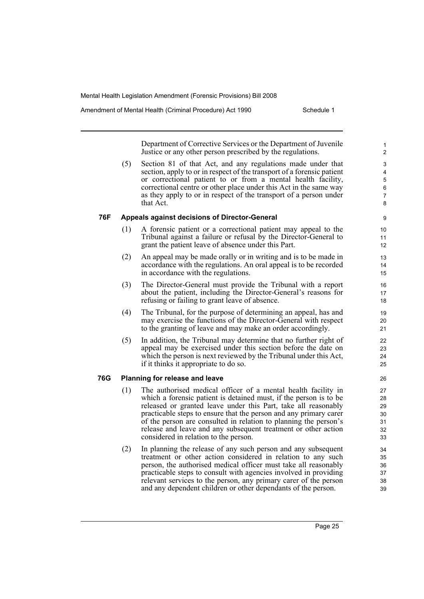Amendment of Mental Health (Criminal Procedure) Act 1990 Schedule 1

Department of Corrective Services or the Department of Juvenile Justice or any other person prescribed by the regulations.

(5) Section 81 of that Act, and any regulations made under that section, apply to or in respect of the transport of a forensic patient or correctional patient to or from a mental health facility, correctional centre or other place under this Act in the same way as they apply to or in respect of the transport of a person under that Act.

#### **76F Appeals against decisions of Director-General**

- (1) A forensic patient or a correctional patient may appeal to the Tribunal against a failure or refusal by the Director-General to grant the patient leave of absence under this Part.
- (2) An appeal may be made orally or in writing and is to be made in accordance with the regulations. An oral appeal is to be recorded in accordance with the regulations.
- (3) The Director-General must provide the Tribunal with a report about the patient, including the Director-General's reasons for refusing or failing to grant leave of absence.
- (4) The Tribunal, for the purpose of determining an appeal, has and may exercise the functions of the Director-General with respect to the granting of leave and may make an order accordingly.
- (5) In addition, the Tribunal may determine that no further right of appeal may be exercised under this section before the date on which the person is next reviewed by the Tribunal under this Act, if it thinks it appropriate to do so.

#### **76G Planning for release and leave**

- (1) The authorised medical officer of a mental health facility in which a forensic patient is detained must, if the person is to be released or granted leave under this Part, take all reasonably practicable steps to ensure that the person and any primary carer of the person are consulted in relation to planning the person's release and leave and any subsequent treatment or other action considered in relation to the person.
- (2) In planning the release of any such person and any subsequent treatment or other action considered in relation to any such person, the authorised medical officer must take all reasonably practicable steps to consult with agencies involved in providing relevant services to the person, any primary carer of the person and any dependent children or other dependants of the person.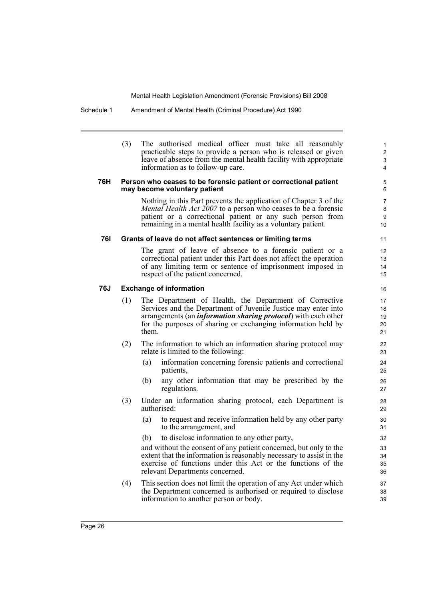#### Schedule 1 Amendment of Mental Health (Criminal Procedure) Act 1990

(3) The authorised medical officer must take all reasonably practicable steps to provide a person who is released or given leave of absence from the mental health facility with appropriate information as to follow-up care.

#### **76H Person who ceases to be forensic patient or correctional patient may become voluntary patient**

Nothing in this Part prevents the application of Chapter 3 of the *Mental Health Act 2007* to a person who ceases to be a forensic patient or a correctional patient or any such person from remaining in a mental health facility as a voluntary patient.

#### **76I Grants of leave do not affect sentences or limiting terms**

The grant of leave of absence to a forensic patient or a correctional patient under this Part does not affect the operation of any limiting term or sentence of imprisonment imposed in respect of the patient concerned.

#### **76J Exchange of information**

- (1) The Department of Health, the Department of Corrective Services and the Department of Juvenile Justice may enter into arrangements (an *information sharing protocol*) with each other for the purposes of sharing or exchanging information held by them.
- (2) The information to which an information sharing protocol may relate is limited to the following:
	- (a) information concerning forensic patients and correctional patients,
	- (b) any other information that may be prescribed by the regulations.
- (3) Under an information sharing protocol, each Department is authorised:
	- (a) to request and receive information held by any other party to the arrangement, and
	- (b) to disclose information to any other party,

and without the consent of any patient concerned, but only to the extent that the information is reasonably necessary to assist in the exercise of functions under this Act or the functions of the relevant Departments concerned.

(4) This section does not limit the operation of any Act under which the Department concerned is authorised or required to disclose information to another person or body.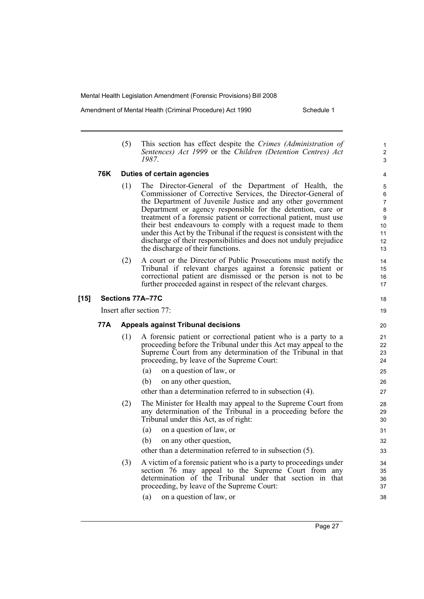Amendment of Mental Health (Criminal Procedure) Act 1990 Schedule 1

1 2 3

18 19

(5) This section has effect despite the *Crimes (Administration of Sentences) Act 1999* or the *Children (Detention Centres) Act 1987*.

#### **76K Duties of certain agencies**

- (1) The Director-General of the Department of Health, the Commissioner of Corrective Services, the Director-General of the Department of Juvenile Justice and any other government Department or agency responsible for the detention, care or treatment of a forensic patient or correctional patient, must use their best endeavours to comply with a request made to them under this Act by the Tribunal if the request is consistent with the discharge of their responsibilities and does not unduly prejudice the discharge of their functions.
- (2) A court or the Director of Public Prosecutions must notify the Tribunal if relevant charges against a forensic patient or correctional patient are dismissed or the person is not to be further proceeded against in respect of the relevant charges.

#### **[15] Sections 77A–77C**

Insert after section 77:

#### **77A Appeals against Tribunal decisions**

- (1) A forensic patient or correctional patient who is a party to a proceeding before the Tribunal under this Act may appeal to the Supreme Court from any determination of the Tribunal in that proceeding, by leave of the Supreme Court:
	- (a) on a question of law, or
	- (b) on any other question,

other than a determination referred to in subsection (4).

- (2) The Minister for Health may appeal to the Supreme Court from any determination of the Tribunal in a proceeding before the Tribunal under this Act, as of right:
	- (a) on a question of law, or (b) on any other question,
	- other than a determination referred to in subsection (5).
- (3) A victim of a forensic patient who is a party to proceedings under section 76 may appeal to the Supreme Court from any determination of the Tribunal under that section in that proceeding, by leave of the Supreme Court:
	- (a) on a question of law, or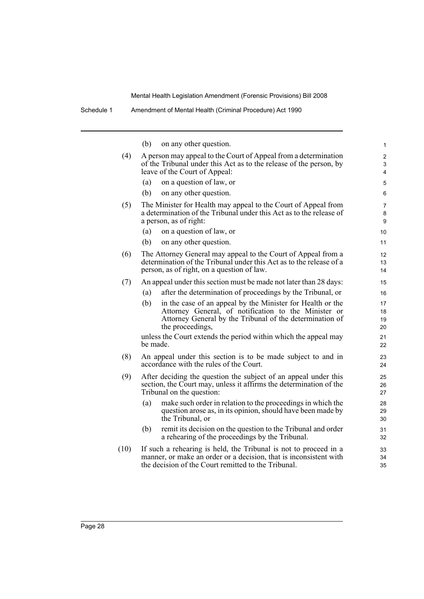1

| Schedule 1 |     | Amendment of Mental Health (Criminal Procedure) Act 1990 |  |
|------------|-----|----------------------------------------------------------|--|
|            | (b) | on any other question.                                   |  |

| (4)  | A person may appeal to the Court of Appeal from a determination<br>of the Tribunal under this Act as to the release of the person, by<br>leave of the Court of Appeal:                                    | $\overline{\mathbf{c}}$<br>3<br>4 |
|------|-----------------------------------------------------------------------------------------------------------------------------------------------------------------------------------------------------------|-----------------------------------|
|      | on a question of law, or<br>(a)                                                                                                                                                                           | 5                                 |
|      | (b)<br>on any other question.                                                                                                                                                                             | 6                                 |
| (5)  | The Minister for Health may appeal to the Court of Appeal from<br>a determination of the Tribunal under this Act as to the release of<br>a person, as of right:                                           | 7<br>8<br>$\boldsymbol{9}$        |
|      | on a question of law, or<br>(a)                                                                                                                                                                           | 10                                |
|      | on any other question.<br>(b)                                                                                                                                                                             | 11                                |
| (6)  | The Attorney General may appeal to the Court of Appeal from a<br>determination of the Tribunal under this Act as to the release of a<br>person, as of right, on a question of law.                        | 12<br>13<br>14                    |
| (7)  | An appeal under this section must be made not later than 28 days:                                                                                                                                         | 15                                |
|      | after the determination of proceedings by the Tribunal, or<br>(a)                                                                                                                                         | 16                                |
|      | (b)<br>in the case of an appeal by the Minister for Health or the<br>Attorney General, of notification to the Minister or<br>Attorney General by the Tribunal of the determination of<br>the proceedings, | 17<br>18<br>19<br>20              |
|      | unless the Court extends the period within which the appeal may<br>be made.                                                                                                                               | 21<br>22                          |
| (8)  | An appeal under this section is to be made subject to and in<br>accordance with the rules of the Court.                                                                                                   | 23<br>24                          |
| (9)  | After deciding the question the subject of an appeal under this<br>section, the Court may, unless it affirms the determination of the<br>Tribunal on the question:                                        | 25<br>26<br>27                    |
|      | make such order in relation to the proceedings in which the<br>(a)<br>question arose as, in its opinion, should have been made by<br>the Tribunal, or                                                     | 28<br>29<br>30                    |
|      | remit its decision on the question to the Tribunal and order<br>(b)<br>a rehearing of the proceedings by the Tribunal.                                                                                    | 31<br>32                          |
| (10) | If such a rehearing is held, the Tribunal is not to proceed in a<br>manner, or make an order or a decision, that is inconsistent with<br>the decision of the Court remitted to the Tribunal.              | 33<br>34<br>35                    |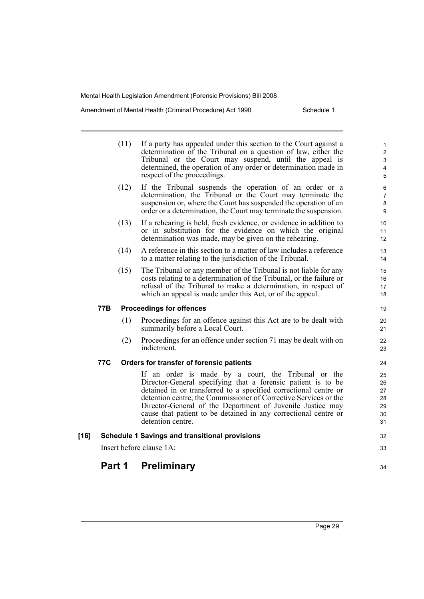Amendment of Mental Health (Criminal Procedure) Act 1990 Schedule 1

|      |     | (11) | If a party has appealed under this section to the Court against a<br>determination of the Tribunal on a question of law, either the<br>Tribunal or the Court may suspend, until the appeal is<br>determined, the operation of any order or determination made in<br>respect of the proceedings.                                                                                                                   | $\mathbf{1}$<br>$\overline{2}$<br>$\mathsf 3$<br>4<br>5 |
|------|-----|------|-------------------------------------------------------------------------------------------------------------------------------------------------------------------------------------------------------------------------------------------------------------------------------------------------------------------------------------------------------------------------------------------------------------------|---------------------------------------------------------|
|      |     | (12) | If the Tribunal suspends the operation of an order or a<br>determination, the Tribunal or the Court may terminate the<br>suspension or, where the Court has suspended the operation of an<br>order or a determination, the Court may terminate the suspension.                                                                                                                                                    | 6<br>$\overline{7}$<br>$\bf 8$<br>9                     |
|      |     | (13) | If a rehearing is held, fresh evidence, or evidence in addition to<br>or in substitution for the evidence on which the original<br>determination was made, may be given on the rehearing.                                                                                                                                                                                                                         | 10<br>11<br>12                                          |
|      |     | (14) | A reference in this section to a matter of law includes a reference<br>to a matter relating to the jurisdiction of the Tribunal.                                                                                                                                                                                                                                                                                  | 13<br>14                                                |
|      |     | (15) | The Tribunal or any member of the Tribunal is not liable for any<br>costs relating to a determination of the Tribunal, or the failure or<br>refusal of the Tribunal to make a determination, in respect of<br>which an appeal is made under this Act, or of the appeal.                                                                                                                                           | 15<br>16<br>17<br>18                                    |
|      | 77B |      | <b>Proceedings for offences</b>                                                                                                                                                                                                                                                                                                                                                                                   | 19                                                      |
|      |     | (1)  | Proceedings for an offence against this Act are to be dealt with<br>summarily before a Local Court.                                                                                                                                                                                                                                                                                                               | 20<br>21                                                |
|      |     | (2)  | Proceedings for an offence under section 71 may be dealt with on<br>indictment.                                                                                                                                                                                                                                                                                                                                   | 22<br>23                                                |
|      | 77C |      | Orders for transfer of forensic patients                                                                                                                                                                                                                                                                                                                                                                          | 24                                                      |
|      |     |      | If an order is made by a court, the Tribunal or the<br>Director-General specifying that a forensic patient is to be<br>detained in or transferred to a specified correctional centre or<br>detention centre, the Commissioner of Corrective Services or the<br>Director-General of the Department of Juvenile Justice may<br>cause that patient to be detained in any correctional centre or<br>detention centre. | 25<br>26<br>27<br>28<br>29<br>30<br>31                  |
| [16] |     |      | <b>Schedule 1 Savings and transitional provisions</b>                                                                                                                                                                                                                                                                                                                                                             | 32                                                      |
|      |     |      | Insert before clause 1A:                                                                                                                                                                                                                                                                                                                                                                                          | 33                                                      |
|      |     |      |                                                                                                                                                                                                                                                                                                                                                                                                                   |                                                         |

# **Part 1 Preliminary**

Page 29

34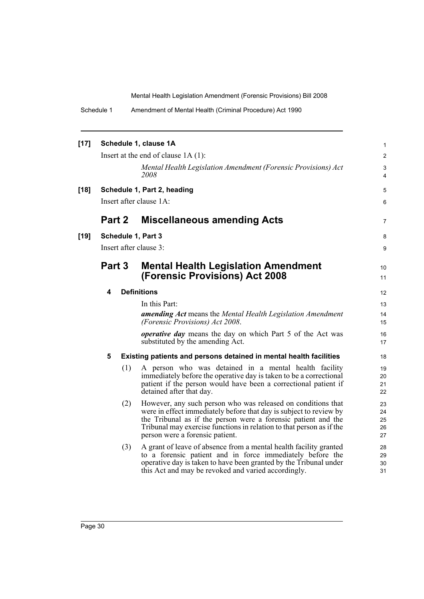| Schedule 1 | Amendment of Mental Health (Criminal Procedure) Act 1990 |
|------------|----------------------------------------------------------|
|------------|----------------------------------------------------------|

| $[17]$ |        |     | Schedule 1, clause 1A                                                                                                                                                                                                                                                                                          | 1                          |
|--------|--------|-----|----------------------------------------------------------------------------------------------------------------------------------------------------------------------------------------------------------------------------------------------------------------------------------------------------------------|----------------------------|
|        |        |     | Insert at the end of clause $1A(1)$ :                                                                                                                                                                                                                                                                          | 2                          |
|        |        |     | Mental Health Legislation Amendment (Forensic Provisions) Act<br>2008                                                                                                                                                                                                                                          | $\mathsf 3$<br>4           |
| $[18]$ |        |     | Schedule 1, Part 2, heading                                                                                                                                                                                                                                                                                    | 5                          |
|        |        |     | Insert after clause 1A:                                                                                                                                                                                                                                                                                        | 6                          |
|        | Part 2 |     | <b>Miscellaneous amending Acts</b>                                                                                                                                                                                                                                                                             | $\overline{7}$             |
| $[19]$ |        |     | Schedule 1, Part 3                                                                                                                                                                                                                                                                                             | 8                          |
|        |        |     | Insert after clause 3:                                                                                                                                                                                                                                                                                         | 9                          |
|        | Part 3 |     | <b>Mental Health Legislation Amendment</b>                                                                                                                                                                                                                                                                     | 10                         |
|        |        |     | <b>(Forensic Provisions) Act 2008</b>                                                                                                                                                                                                                                                                          | 11                         |
|        | 4      |     | <b>Definitions</b>                                                                                                                                                                                                                                                                                             | 12                         |
|        |        |     | In this Part:                                                                                                                                                                                                                                                                                                  | 13                         |
|        |        |     | <b>amending Act</b> means the Mental Health Legislation Amendment<br>(Forensic Provisions) Act 2008.                                                                                                                                                                                                           | 14<br>15                   |
|        |        |     | operative day means the day on which Part 5 of the Act was<br>substituted by the amending Act.                                                                                                                                                                                                                 | 16<br>17                   |
|        | 5      |     | Existing patients and persons detained in mental health facilities                                                                                                                                                                                                                                             | 18                         |
|        |        | (1) | A person who was detained in a mental health facility<br>immediately before the operative day is taken to be a correctional<br>patient if the person would have been a correctional patient if<br>detained after that day.                                                                                     | 19<br>20<br>21<br>22       |
|        |        | (2) | However, any such person who was released on conditions that<br>were in effect immediately before that day is subject to review by<br>the Tribunal as if the person were a forensic patient and the<br>Tribunal may exercise functions in relation to that person as if the<br>person were a forensic patient. | 23<br>24<br>25<br>26<br>27 |
|        |        | (3) | A grant of leave of absence from a mental health facility granted<br>to a forensic patient and in force immediately before the<br>operative day is taken to have been granted by the Tribunal under<br>this Act and may be revoked and varied accordingly.                                                     | 28<br>29<br>30<br>31       |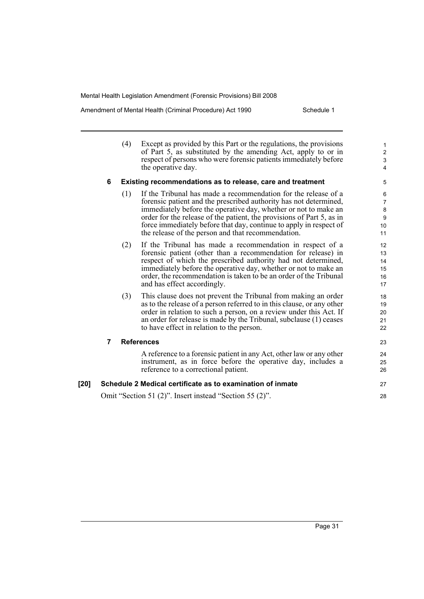Amendment of Mental Health (Criminal Procedure) Act 1990 Schedule 1

|      |   | (4) | Except as provided by this Part or the regulations, the provisions<br>of Part 5, as substituted by the amending Act, apply to or in<br>respect of persons who were forensic patients immediately before<br>the operative day.                                                                                                                                                                               | $\mathbf{1}$<br>$\overline{c}$<br>3<br>4      |
|------|---|-----|-------------------------------------------------------------------------------------------------------------------------------------------------------------------------------------------------------------------------------------------------------------------------------------------------------------------------------------------------------------------------------------------------------------|-----------------------------------------------|
|      | 6 |     | Existing recommendations as to release, care and treatment                                                                                                                                                                                                                                                                                                                                                  | 5                                             |
|      |   | (1) | If the Tribunal has made a recommendation for the release of a<br>forensic patient and the prescribed authority has not determined,<br>immediately before the operative day, whether or not to make an<br>order for the release of the patient, the provisions of Part 5, as in<br>force immediately before that day, continue to apply in respect of<br>the release of the person and that recommendation. | 6<br>$\overline{7}$<br>8<br>$9\,$<br>10<br>11 |
|      |   | (2) | If the Tribunal has made a recommendation in respect of a<br>forensic patient (other than a recommendation for release) in<br>respect of which the prescribed authority had not determined,<br>immediately before the operative day, whether or not to make an<br>order, the recommendation is taken to be an order of the Tribunal<br>and has effect accordingly.                                          | 12<br>13<br>14<br>15<br>16<br>17              |
|      |   | (3) | This clause does not prevent the Tribunal from making an order<br>as to the release of a person referred to in this clause, or any other<br>order in relation to such a person, on a review under this Act. If<br>an order for release is made by the Tribunal, subclause (1) ceases<br>to have effect in relation to the person.                                                                           | 18<br>19<br>20<br>21<br>22                    |
|      | 7 |     | <b>References</b>                                                                                                                                                                                                                                                                                                                                                                                           | 23                                            |
|      |   |     | A reference to a forensic patient in any Act, other law or any other<br>instrument, as in force before the operative day, includes a<br>reference to a correctional patient.                                                                                                                                                                                                                                | 24<br>25<br>26                                |
| [20] |   |     | Schedule 2 Medical certificate as to examination of inmate                                                                                                                                                                                                                                                                                                                                                  | 27                                            |
|      |   |     | Omit "Section 51 (2)". Insert instead "Section 55 (2)".                                                                                                                                                                                                                                                                                                                                                     | 28                                            |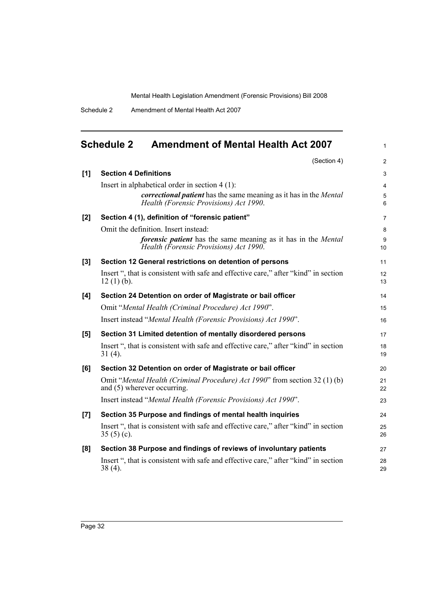1

Schedule 2 Amendment of Mental Health Act 2007

# <span id="page-43-0"></span>**Schedule 2 Amendment of Mental Health Act 2007**

|       | (Section 4)                                                                                                           | 2              |
|-------|-----------------------------------------------------------------------------------------------------------------------|----------------|
| [1]   | <b>Section 4 Definitions</b>                                                                                          | 3              |
|       | Insert in alphabetical order in section $4(1)$ :                                                                      | $\overline{4}$ |
|       | correctional patient has the same meaning as it has in the Mental<br>Health (Forensic Provisions) Act 1990.           | 5<br>6         |
| [2]   | Section 4 (1), definition of "forensic patient"                                                                       | $\overline{7}$ |
|       | Omit the definition. Insert instead:                                                                                  | 8              |
|       | <i>forensic patient</i> has the same meaning as it has in the <i>Mental</i><br>Health (Forensic Provisions) Act 1990. | 9<br>10        |
| $[3]$ | Section 12 General restrictions on detention of persons                                                               | 11             |
|       | Insert ", that is consistent with safe and effective care," after "kind" in section<br>$12(1)(b)$ .                   | 12<br>13       |
| [4]   | Section 24 Detention on order of Magistrate or bail officer                                                           | 14             |
|       | Omit "Mental Health (Criminal Procedure) Act 1990".                                                                   | 15             |
|       | Insert instead "Mental Health (Forensic Provisions) Act 1990".                                                        | 16             |
| [5]   | Section 31 Limited detention of mentally disordered persons                                                           | 17             |
|       | Insert ", that is consistent with safe and effective care," after "kind" in section<br>$31(4)$ .                      | 18<br>19       |
| [6]   | Section 32 Detention on order of Magistrate or bail officer                                                           | 20             |
|       | Omit "Mental Health (Criminal Procedure) Act 1990" from section 32 (1) (b)<br>and (5) wherever occurring.             | 21<br>22       |
|       | Insert instead "Mental Health (Forensic Provisions) Act 1990".                                                        | 23             |
| [7]   | Section 35 Purpose and findings of mental health inquiries                                                            | 24             |
|       | Insert ", that is consistent with safe and effective care," after "kind" in section<br>$35(5)(c)$ .                   | 25<br>26       |
| [8]   | Section 38 Purpose and findings of reviews of involuntary patients                                                    | 27             |
|       | Insert ", that is consistent with safe and effective care," after "kind" in section<br>$38(4)$ .                      | 28<br>29       |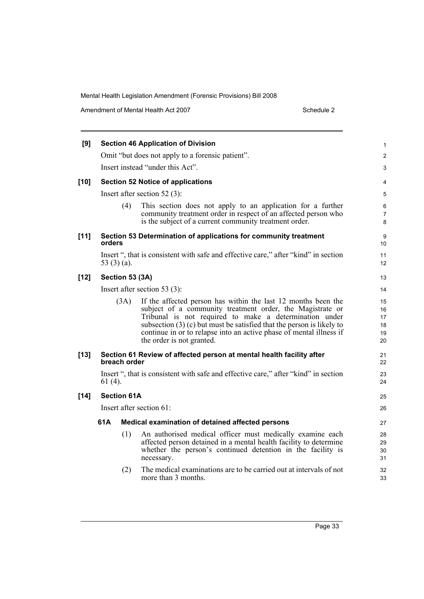Amendment of Mental Health Act 2007 Schedule 2

| [9]    |           |                    | <b>Section 46 Application of Division</b>                                                                                                                                                                                                                                                                                                                           | 1                                |
|--------|-----------|--------------------|---------------------------------------------------------------------------------------------------------------------------------------------------------------------------------------------------------------------------------------------------------------------------------------------------------------------------------------------------------------------|----------------------------------|
|        |           |                    | Omit "but does not apply to a forensic patient".                                                                                                                                                                                                                                                                                                                    | $\overline{c}$                   |
|        |           |                    | Insert instead "under this Act".                                                                                                                                                                                                                                                                                                                                    | 3                                |
| $[10]$ |           |                    | <b>Section 52 Notice of applications</b>                                                                                                                                                                                                                                                                                                                            | 4                                |
|        |           |                    | Insert after section $52(3)$ :                                                                                                                                                                                                                                                                                                                                      | 5                                |
|        |           | (4)                | This section does not apply to an application for a further<br>community treatment order in respect of an affected person who<br>is the subject of a current community treatment order.                                                                                                                                                                             | 6<br>7<br>8                      |
| $[11]$ | orders    |                    | Section 53 Determination of applications for community treatment                                                                                                                                                                                                                                                                                                    | 9<br>10                          |
|        |           | 53 $(3)$ $(a)$ .   | Insert ", that is consistent with safe and effective care," after "kind" in section                                                                                                                                                                                                                                                                                 | 11<br>12                         |
| $[12]$ |           | Section 53 (3A)    |                                                                                                                                                                                                                                                                                                                                                                     | 13                               |
|        |           |                    | Insert after section 53 $(3)$ :                                                                                                                                                                                                                                                                                                                                     | 14                               |
|        |           | (3A)               | If the affected person has within the last 12 months been the<br>subject of a community treatment order, the Magistrate or<br>Tribunal is not required to make a determination under<br>subsection $(3)$ (c) but must be satisfied that the person is likely to<br>continue in or to relapse into an active phase of mental illness if<br>the order is not granted. | 15<br>16<br>17<br>18<br>19<br>20 |
| $[13]$ |           | breach order       | Section 61 Review of affected person at mental health facility after                                                                                                                                                                                                                                                                                                | 21<br>22                         |
|        | $61(4)$ . |                    | Insert ", that is consistent with safe and effective care," after "kind" in section                                                                                                                                                                                                                                                                                 | 23<br>24                         |
| $[14]$ |           | <b>Section 61A</b> |                                                                                                                                                                                                                                                                                                                                                                     | 25                               |
|        |           |                    | Insert after section 61:                                                                                                                                                                                                                                                                                                                                            | 26                               |
|        | 61 A      |                    | Medical examination of detained affected persons                                                                                                                                                                                                                                                                                                                    | 27                               |
|        |           | (1)                | An authorised medical officer must medically examine each<br>affected person detained in a mental health facility to determine<br>whether the person's continued detention in the facility is<br>necessary.                                                                                                                                                         | 28<br>29<br>30<br>31             |
|        |           | (2)                | The medical examinations are to be carried out at intervals of not<br>more than 3 months.                                                                                                                                                                                                                                                                           | 32<br>33                         |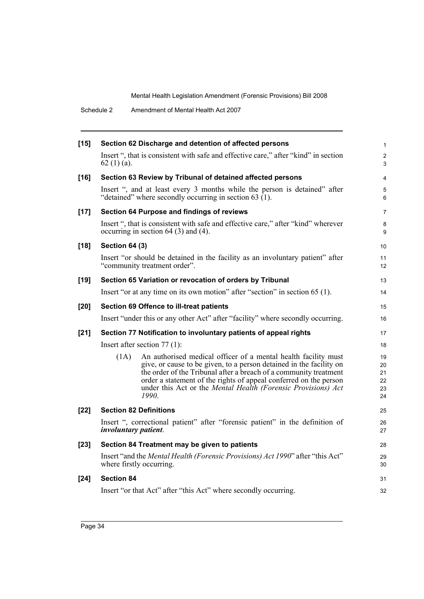Schedule 2 Amendment of Mental Health Act 2007

| $[15]$ | Section 62 Discharge and detention of affected persons                                                                                                                                                                                                                                                                                                            | $\mathbf{1}$                     |
|--------|-------------------------------------------------------------------------------------------------------------------------------------------------------------------------------------------------------------------------------------------------------------------------------------------------------------------------------------------------------------------|----------------------------------|
|        | Insert ", that is consistent with safe and effective care," after "kind" in section<br>62 $(1)$ $(a)$ .                                                                                                                                                                                                                                                           | $\overline{c}$<br>3              |
| $[16]$ | Section 63 Review by Tribunal of detained affected persons                                                                                                                                                                                                                                                                                                        | 4                                |
|        | Insert ", and at least every 3 months while the person is detained" after<br>"detained" where secondly occurring in section 63 $(1)$ .                                                                                                                                                                                                                            | 5<br>6                           |
| $[17]$ | Section 64 Purpose and findings of reviews                                                                                                                                                                                                                                                                                                                        | $\overline{7}$                   |
|        | Insert ", that is consistent with safe and effective care," after "kind" wherever<br>occurring in section $64$ (3) and (4).                                                                                                                                                                                                                                       | 8<br>9                           |
| $[18]$ | <b>Section 64 (3)</b>                                                                                                                                                                                                                                                                                                                                             | 10                               |
|        | Insert "or should be detained in the facility as an involuntary patient" after<br>"community treatment order".                                                                                                                                                                                                                                                    | 11<br>12 <sup>2</sup>            |
| $[19]$ | Section 65 Variation or revocation of orders by Tribunal                                                                                                                                                                                                                                                                                                          | 13                               |
|        | Insert "or at any time on its own motion" after "section" in section 65 (1).                                                                                                                                                                                                                                                                                      | 14                               |
| $[20]$ | Section 69 Offence to ill-treat patients                                                                                                                                                                                                                                                                                                                          | 15                               |
|        | Insert "under this or any other Act" after "facility" where secondly occurring.                                                                                                                                                                                                                                                                                   | 16                               |
| $[21]$ | Section 77 Notification to involuntary patients of appeal rights                                                                                                                                                                                                                                                                                                  | 17                               |
|        | Insert after section $77(1)$ :                                                                                                                                                                                                                                                                                                                                    | 18                               |
|        | An authorised medical officer of a mental health facility must<br>(1A)<br>give, or cause to be given, to a person detained in the facility on<br>the order of the Tribunal after a breach of a community treatment<br>order a statement of the rights of appeal conferred on the person<br>under this Act or the Mental Health (Forensic Provisions) Act<br>1990. | 19<br>20<br>21<br>22<br>23<br>24 |
| $[22]$ | <b>Section 82 Definitions</b>                                                                                                                                                                                                                                                                                                                                     | 25                               |
|        | Insert ", correctional patient" after "forensic patient" in the definition of<br><i>involuntary patient.</i>                                                                                                                                                                                                                                                      | 26<br>27                         |
| $[23]$ | Section 84 Treatment may be given to patients                                                                                                                                                                                                                                                                                                                     | 28                               |
|        | Insert "and the Mental Health (Forensic Provisions) Act 1990" after "this Act"<br>where firstly occurring.                                                                                                                                                                                                                                                        | 29<br>30                         |
| [24]   | <b>Section 84</b>                                                                                                                                                                                                                                                                                                                                                 | 31                               |
|        | Insert "or that Act" after "this Act" where secondly occurring.                                                                                                                                                                                                                                                                                                   | 32                               |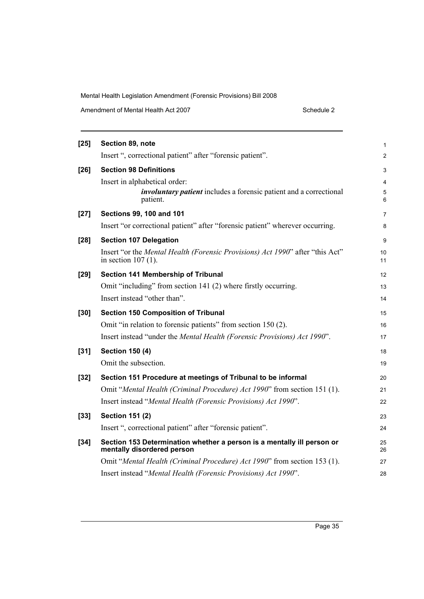| Amendment of Mental Health Act 2007 | Schedule 2 |
|-------------------------------------|------------|
|-------------------------------------|------------|

| $[25]$ | Section 89, note                                                                                       | 1              |
|--------|--------------------------------------------------------------------------------------------------------|----------------|
|        | Insert ", correctional patient" after "forensic patient".                                              | $\overline{c}$ |
| $[26]$ | <b>Section 98 Definitions</b>                                                                          | 3              |
|        | Insert in alphabetical order:                                                                          | 4              |
|        | <i>involuntary patient</i> includes a forensic patient and a correctional<br>patient.                  | 5<br>6         |
| $[27]$ | <b>Sections 99, 100 and 101</b>                                                                        | 7              |
|        | Insert "or correctional patient" after "forensic patient" wherever occurring.                          | 8              |
| $[28]$ | <b>Section 107 Delegation</b>                                                                          | 9              |
|        | Insert "or the Mental Health (Forensic Provisions) Act 1990" after "this Act"<br>in section $107(1)$ . | 10<br>11       |
| $[29]$ | Section 141 Membership of Tribunal                                                                     | 12             |
|        | Omit "including" from section 141 (2) where firstly occurring.                                         | 13             |
|        | Insert instead "other than".                                                                           | 14             |
| $[30]$ | <b>Section 150 Composition of Tribunal</b>                                                             | 15             |
|        | Omit "in relation to forensic patients" from section 150 (2).                                          | 16             |
|        | Insert instead "under the <i>Mental Health (Forensic Provisions) Act 1990"</i> .                       | 17             |
| $[31]$ | <b>Section 150 (4)</b>                                                                                 | 18             |
|        | Omit the subsection.                                                                                   | 19             |
| $[32]$ | Section 151 Procedure at meetings of Tribunal to be informal                                           | 20             |
|        | Omit "Mental Health (Criminal Procedure) Act 1990" from section 151 (1).                               | 21             |
|        | Insert instead "Mental Health (Forensic Provisions) Act 1990".                                         | 22             |
| $[33]$ | <b>Section 151 (2)</b>                                                                                 | 23             |
|        | Insert ", correctional patient" after "forensic patient".                                              | 24             |
| $[34]$ | Section 153 Determination whether a person is a mentally ill person or<br>mentally disordered person   | 25<br>26       |
|        |                                                                                                        |                |
|        | Omit "Mental Health (Criminal Procedure) Act 1990" from section 153 (1).                               | 27             |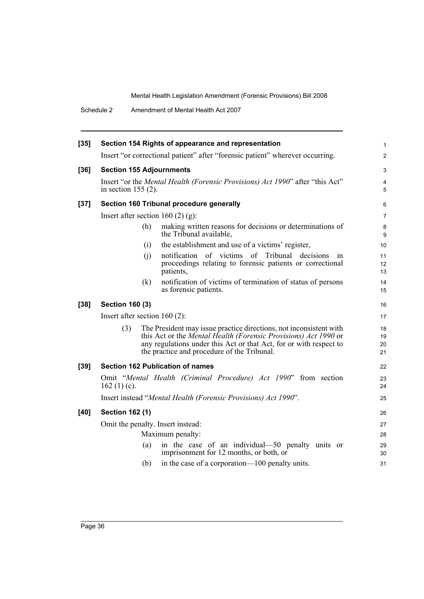Schedule 2 Amendment of Mental Health Act 2007

| $[35]$ |                                     |     | Section 154 Rights of appearance and representation                                                                                                                                                                                                        | $\mathbf{1}$         |
|--------|-------------------------------------|-----|------------------------------------------------------------------------------------------------------------------------------------------------------------------------------------------------------------------------------------------------------------|----------------------|
|        |                                     |     | Insert "or correctional patient" after "forensic patient" wherever occurring.                                                                                                                                                                              | $\overline{2}$       |
| $[36]$ | <b>Section 155 Adjournments</b>     |     |                                                                                                                                                                                                                                                            | 3                    |
|        | in section $155(2)$ .               |     | Insert "or the Mental Health (Forensic Provisions) Act 1990" after "this Act"                                                                                                                                                                              | 4<br>5               |
| $[37]$ |                                     |     | Section 160 Tribunal procedure generally                                                                                                                                                                                                                   | 6                    |
|        | Insert after section 160 $(2)$ (g): |     |                                                                                                                                                                                                                                                            | 7                    |
|        |                                     | (h) | making written reasons for decisions or determinations of<br>the Tribunal available,                                                                                                                                                                       | 8<br>9               |
|        |                                     | (i) | the establishment and use of a victims' register,                                                                                                                                                                                                          | 10                   |
|        |                                     | (i) | notification of victims of Tribunal decisions<br>1n<br>proceedings relating to forensic patients or correctional<br>patients,                                                                                                                              | 11<br>12<br>13       |
|        |                                     | (k) | notification of victims of termination of status of persons<br>as forensic patients.                                                                                                                                                                       | 14<br>15             |
| $[38]$ | <b>Section 160 (3)</b>              |     |                                                                                                                                                                                                                                                            | 16                   |
|        | Insert after section $160(2)$ :     |     |                                                                                                                                                                                                                                                            | 17                   |
|        | (3)                                 |     | The President may issue practice directions, not inconsistent with<br>this Act or the Mental Health (Forensic Provisions) Act 1990 or<br>any regulations under this Act or that Act, for or with respect to<br>the practice and procedure of the Tribunal. | 18<br>19<br>20<br>21 |
| $[39]$ |                                     |     | <b>Section 162 Publication of names</b>                                                                                                                                                                                                                    | 22                   |
|        | 162 $(1)(c)$ .                      |     | Omit "Mental Health (Criminal Procedure) Act 1990" from section                                                                                                                                                                                            | 23<br>24             |
|        |                                     |     | Insert instead "Mental Health (Forensic Provisions) Act 1990".                                                                                                                                                                                             | 25                   |
| [40]   | <b>Section 162 (1)</b>              |     |                                                                                                                                                                                                                                                            | 26                   |
|        |                                     |     | Omit the penalty. Insert instead:                                                                                                                                                                                                                          | 27                   |
|        | Maximum penalty:                    |     |                                                                                                                                                                                                                                                            | 28                   |
|        |                                     | (a) | in the case of an individual—50 penalty units or<br>imprisonment for 12 months, or both, or                                                                                                                                                                | 29<br>30             |
|        |                                     | (b) | in the case of a corporation—100 penalty units.                                                                                                                                                                                                            | 31                   |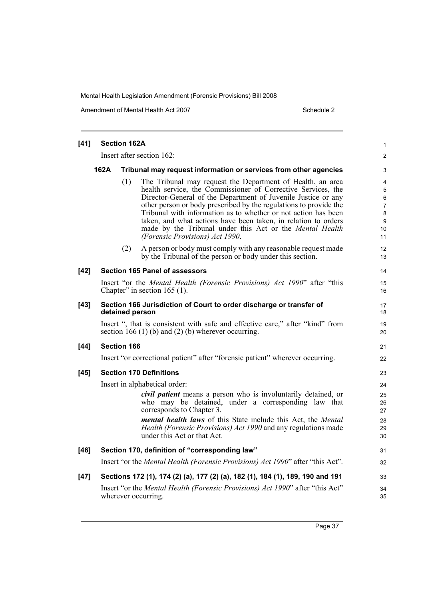Amendment of Mental Health Act 2007 Schedule 2

| $[41]$ |      | <b>Section 162A</b> |                                                                                                                                                                                                                                                                                                                                                                                                                                                                                                     | $\mathbf{1}$                                              |
|--------|------|---------------------|-----------------------------------------------------------------------------------------------------------------------------------------------------------------------------------------------------------------------------------------------------------------------------------------------------------------------------------------------------------------------------------------------------------------------------------------------------------------------------------------------------|-----------------------------------------------------------|
|        |      |                     | Insert after section 162:                                                                                                                                                                                                                                                                                                                                                                                                                                                                           | 2                                                         |
|        | 162A |                     | Tribunal may request information or services from other agencies                                                                                                                                                                                                                                                                                                                                                                                                                                    | 3                                                         |
|        |      | (1)                 | The Tribunal may request the Department of Health, an area<br>health service, the Commissioner of Corrective Services, the<br>Director-General of the Department of Juvenile Justice or any<br>other person or body prescribed by the regulations to provide the<br>Tribunal with information as to whether or not action has been<br>taken, and what actions have been taken, in relation to orders<br>made by the Tribunal under this Act or the Mental Health<br>(Forensic Provisions) Act 1990. | 4<br>5<br>6<br>$\overline{7}$<br>$\bf 8$<br>9<br>10<br>11 |
|        |      | (2)                 | A person or body must comply with any reasonable request made<br>by the Tribunal of the person or body under this section.                                                                                                                                                                                                                                                                                                                                                                          | 12<br>13                                                  |
| $[42]$ |      |                     | <b>Section 165 Panel of assessors</b>                                                                                                                                                                                                                                                                                                                                                                                                                                                               | 14                                                        |
|        |      |                     | Insert "or the Mental Health (Forensic Provisions) Act 1990" after "this<br>Chapter" in section $165$ (1).                                                                                                                                                                                                                                                                                                                                                                                          | 15<br>16                                                  |
| $[43]$ |      |                     | Section 166 Jurisdiction of Court to order discharge or transfer of<br>detained person                                                                                                                                                                                                                                                                                                                                                                                                              | 17<br>18                                                  |
|        |      |                     | Insert ", that is consistent with safe and effective care," after "kind" from<br>section 166 (1) (b) and (2) (b) wherever occurring.                                                                                                                                                                                                                                                                                                                                                                | 19<br>20                                                  |
| $[44]$ |      | <b>Section 166</b>  |                                                                                                                                                                                                                                                                                                                                                                                                                                                                                                     | 21                                                        |
|        |      |                     | Insert "or correctional patient" after "forensic patient" wherever occurring.                                                                                                                                                                                                                                                                                                                                                                                                                       | 22                                                        |
| $[45]$ |      |                     | <b>Section 170 Definitions</b>                                                                                                                                                                                                                                                                                                                                                                                                                                                                      | 23                                                        |
|        |      |                     | Insert in alphabetical order:                                                                                                                                                                                                                                                                                                                                                                                                                                                                       | 24                                                        |
|        |      |                     | <i>civil patient</i> means a person who is involuntarily detained, or<br>who may be detained, under a corresponding law that<br>corresponds to Chapter 3.                                                                                                                                                                                                                                                                                                                                           | 25<br>26<br>27                                            |
|        |      |                     | <i>mental health laws</i> of this State include this Act, the <i>Mental</i><br>Health (Forensic Provisions) Act 1990 and any regulations made<br>under this Act or that Act.                                                                                                                                                                                                                                                                                                                        | 28<br>29<br>30                                            |
| $[46]$ |      |                     | Section 170, definition of "corresponding law"                                                                                                                                                                                                                                                                                                                                                                                                                                                      | 31                                                        |
|        |      |                     | Insert "or the Mental Health (Forensic Provisions) Act 1990" after "this Act".                                                                                                                                                                                                                                                                                                                                                                                                                      | 32                                                        |
| $[47]$ |      |                     | Sections 172 (1), 174 (2) (a), 177 (2) (a), 182 (1), 184 (1), 189, 190 and 191                                                                                                                                                                                                                                                                                                                                                                                                                      | 33                                                        |
|        |      |                     | Insert "or the Mental Health (Forensic Provisions) Act 1990" after "this Act"<br>wherever occurring.                                                                                                                                                                                                                                                                                                                                                                                                | 34<br>35                                                  |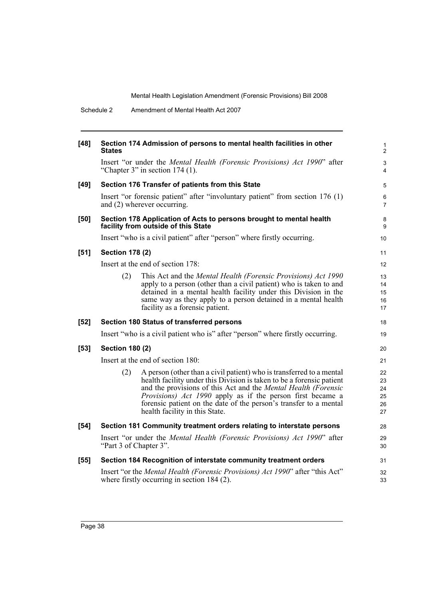|        | Schedule 2             | Amendment of Mental Health Act 2007                                                                                                                                                                                                                                                                                                                                                                        |
|--------|------------------------|------------------------------------------------------------------------------------------------------------------------------------------------------------------------------------------------------------------------------------------------------------------------------------------------------------------------------------------------------------------------------------------------------------|
| $[48]$ | <b>States</b>          | Section 174 Admission of persons to mental health facilities in other                                                                                                                                                                                                                                                                                                                                      |
|        |                        | Insert "or under the Mental Health (Forensic Provisions) Act 1990" after<br>"Chapter 3" in section $174$ (1).                                                                                                                                                                                                                                                                                              |
| $[49]$ |                        | Section 176 Transfer of patients from this State                                                                                                                                                                                                                                                                                                                                                           |
|        |                        | Insert "or forensic patient" after "involuntary patient" from section 176 (1)<br>and (2) wherever occurring.                                                                                                                                                                                                                                                                                               |
| $[50]$ |                        | Section 178 Application of Acts to persons brought to mental health<br>facility from outside of this State                                                                                                                                                                                                                                                                                                 |
|        |                        | Insert "who is a civil patient" after "person" where firstly occurring.                                                                                                                                                                                                                                                                                                                                    |
| $[51]$ | <b>Section 178 (2)</b> |                                                                                                                                                                                                                                                                                                                                                                                                            |
|        |                        | Insert at the end of section 178:                                                                                                                                                                                                                                                                                                                                                                          |
|        | (2)                    | This Act and the Mental Health (Forensic Provisions) Act 1990<br>apply to a person (other than a civil patient) who is taken to and<br>detained in a mental health facility under this Division in the<br>same way as they apply to a person detained in a mental health<br>facility as a forensic patient.                                                                                                |
| $[52]$ |                        | <b>Section 180 Status of transferred persons</b>                                                                                                                                                                                                                                                                                                                                                           |
|        |                        | Insert "who is a civil patient who is" after "person" where firstly occurring.                                                                                                                                                                                                                                                                                                                             |
| $[53]$ | <b>Section 180 (2)</b> |                                                                                                                                                                                                                                                                                                                                                                                                            |
|        |                        | Insert at the end of section 180:                                                                                                                                                                                                                                                                                                                                                                          |
|        | (2)                    | A person (other than a civil patient) who is transferred to a mental<br>health facility under this Division is taken to be a forensic patient<br>and the provisions of this Act and the <i>Mental Health (Forensic</i><br><i>Provisions</i> ) <i>Act 1990</i> apply as if the person first became a<br>forensic patient on the date of the person's transfer to a mental<br>health facility in this State. |
| $[54]$ |                        | Section 181 Community treatment orders relating to interstate persons                                                                                                                                                                                                                                                                                                                                      |
|        | "Part 3 of Chapter 3". | Insert "or under the <i>Mental Health (Forensic Provisions) Act 1990</i> " after                                                                                                                                                                                                                                                                                                                           |
| $[55]$ |                        | Section 184 Recognition of interstate community treatment orders                                                                                                                                                                                                                                                                                                                                           |
|        |                        | Insert "or the Mental Health (Forensic Provisions) Act 1990" after "this Act"<br>where firstly occurring in section $184(2)$ .                                                                                                                                                                                                                                                                             |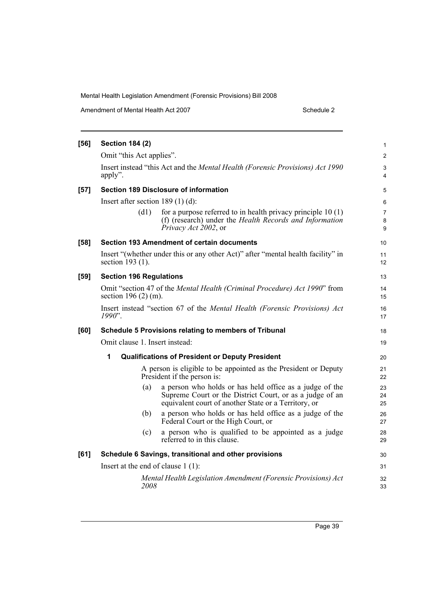| [56]   | <b>Section 184 (2)</b>               |                                                                                                                                                                             | $\mathbf{1}$             |
|--------|--------------------------------------|-----------------------------------------------------------------------------------------------------------------------------------------------------------------------------|--------------------------|
|        | Omit "this Act applies".             |                                                                                                                                                                             | $\mathbf{2}$             |
|        | apply".                              | Insert instead "this Act and the Mental Health (Forensic Provisions) Act 1990                                                                                               | 3<br>$\overline{4}$      |
| $[57]$ |                                      | <b>Section 189 Disclosure of information</b>                                                                                                                                | 5                        |
|        | Insert after section $189(1)(d)$ :   |                                                                                                                                                                             | 6                        |
|        | (d1)                                 | for a purpose referred to in health privacy principle $10(1)$<br>(f) (research) under the Health Records and Information<br>Privacy Act 2002, or                            | $\overline{7}$<br>8<br>9 |
| $[58]$ |                                      | Section 193 Amendment of certain documents                                                                                                                                  | 10                       |
|        | section 193 (1).                     | Insert "(whether under this or any other Act)" after "mental health facility" in                                                                                            | 11<br>12                 |
| $[59]$ | <b>Section 196 Regulations</b>       |                                                                                                                                                                             | 13                       |
|        | section 196 $(2)$ (m).               | Omit "section 47 of the Mental Health (Criminal Procedure) Act 1990" from                                                                                                   | 14<br>15                 |
|        | $1990$ ".                            | Insert instead "section 67 of the Mental Health (Forensic Provisions) Act                                                                                                   | 16<br>17                 |
| [60]   |                                      | Schedule 5 Provisions relating to members of Tribunal                                                                                                                       | 18                       |
|        | Omit clause 1. Insert instead:       |                                                                                                                                                                             | 19                       |
|        | 1                                    | <b>Qualifications of President or Deputy President</b>                                                                                                                      | 20                       |
|        |                                      | A person is eligible to be appointed as the President or Deputy<br>President if the person is:                                                                              | 21<br>22                 |
|        | (a)                                  | a person who holds or has held office as a judge of the<br>Supreme Court or the District Court, or as a judge of an<br>equivalent court of another State or a Territory, or | 23<br>24<br>25           |
|        | (b)                                  | a person who holds or has held office as a judge of the<br>Federal Court or the High Court, or                                                                              | 26<br>27                 |
|        | (c)                                  | a person who is qualified to be appointed as a judge<br>referred to in this clause.                                                                                         | 28<br>29                 |
| $[61]$ |                                      | Schedule 6 Savings, transitional and other provisions                                                                                                                       | 30                       |
|        | Insert at the end of clause $1(1)$ : |                                                                                                                                                                             |                          |
|        | 2008                                 | Mental Health Legislation Amendment (Forensic Provisions) Act                                                                                                               | 32<br>33                 |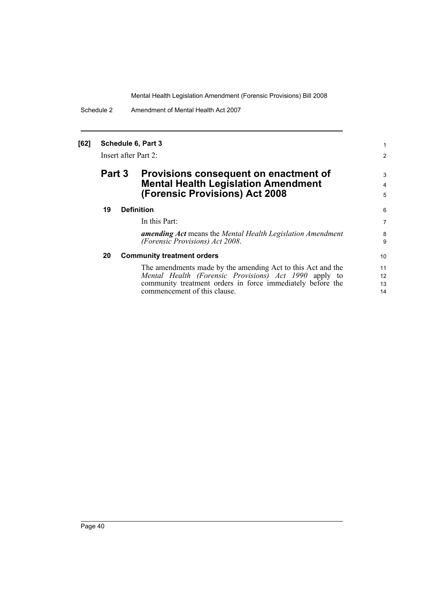Schedule 2 Amendment of Mental Health Act 2007

#### **[62] Schedule 6, Part 3**

Insert after Part 2:

### **Part 3 Provisions consequent on enactment of Mental Health Legislation Amendment (Forensic Provisions) Act 2008**

#### **19 Definition**

In this Part:

*amending Act* means the *Mental Health Legislation Amendment (Forensic Provisions) Act 2008*.

1 2

3 4 5

#### **20 Community treatment orders**

The amendments made by the amending Act to this Act and the *Mental Health (Forensic Provisions) Act 1990* apply to community treatment orders in force immediately before the commencement of this clause.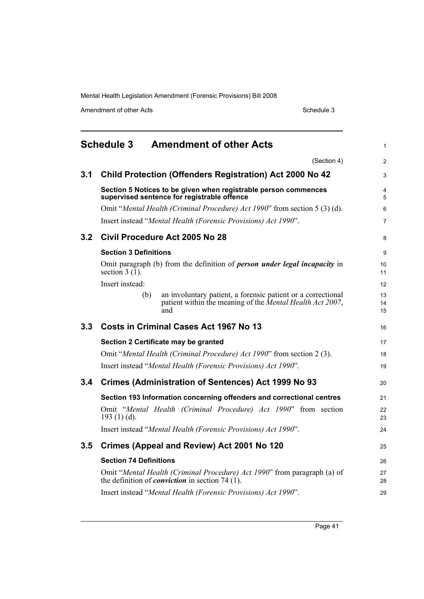Amendment of other Acts Schedule 3

<span id="page-52-0"></span>

|                  | <b>Schedule 3</b><br><b>Amendment of other Acts</b>                                                                                     | $\mathbf{1}$   |
|------------------|-----------------------------------------------------------------------------------------------------------------------------------------|----------------|
|                  | (Section 4)                                                                                                                             | 2              |
| 3.1              | <b>Child Protection (Offenders Registration) Act 2000 No 42</b>                                                                         | 3              |
|                  | Section 5 Notices to be given when registrable person commences<br>supervised sentence for registrable offence                          | 4<br>5         |
|                  | Omit "Mental Health (Criminal Procedure) Act 1990" from section 5 (3) (d).                                                              | 6              |
|                  | Insert instead "Mental Health (Forensic Provisions) Act 1990".                                                                          | $\overline{7}$ |
| 3.2 <sub>2</sub> | Civil Procedure Act 2005 No 28                                                                                                          | 8              |
|                  | <b>Section 3 Definitions</b>                                                                                                            | 9              |
|                  | Omit paragraph (b) from the definition of <i>person under legal incapacity</i> in<br>section $3(1)$ .                                   | 10<br>11       |
|                  | Insert instead:                                                                                                                         | 12             |
|                  | an involuntary patient, a forensic patient or a correctional<br>(b)<br>patient within the meaning of the Mental Health Act 2007,<br>and | 13<br>14<br>15 |
| 3.3 <sub>1</sub> | Costs in Criminal Cases Act 1967 No 13                                                                                                  | 16             |
|                  | Section 2 Certificate may be granted                                                                                                    | 17             |
|                  | Omit "Mental Health (Criminal Procedure) Act 1990" from section 2 (3).                                                                  | 18             |
|                  | Insert instead "Mental Health (Forensic Provisions) Act 1990".                                                                          | 19             |
| 3.4              | <b>Crimes (Administration of Sentences) Act 1999 No 93</b>                                                                              | 20             |
|                  | Section 193 Information concerning offenders and correctional centres                                                                   | 21             |
|                  | Omit "Mental Health (Criminal Procedure) Act 1990" from section<br>193 $(1)$ $(d)$ .                                                    | 22<br>23       |
|                  | Insert instead "Mental Health (Forensic Provisions) Act 1990".                                                                          | 24             |
| 3.5              | Crimes (Appeal and Review) Act 2001 No 120                                                                                              | 25             |
|                  | <b>Section 74 Definitions</b>                                                                                                           | 26             |
|                  | Omit "Mental Health (Criminal Procedure) Act 1990" from paragraph (a) of<br>the definition of <i>conviction</i> in section 74 $(1)$ .   | 27<br>28       |
|                  | Insert instead "Mental Health (Forensic Provisions) Act 1990".                                                                          | 29             |

Page 41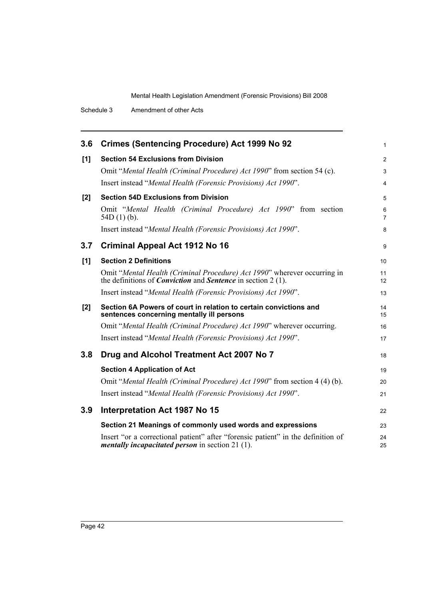| 3.6 | <b>Crimes (Sentencing Procedure) Act 1999 No 92</b>                                                                                                      | $\mathbf{1}$        |
|-----|----------------------------------------------------------------------------------------------------------------------------------------------------------|---------------------|
| [1] | <b>Section 54 Exclusions from Division</b>                                                                                                               | $\overline{2}$      |
|     | Omit "Mental Health (Criminal Procedure) Act 1990" from section 54 (c).                                                                                  | 3                   |
|     | Insert instead "Mental Health (Forensic Provisions) Act 1990".                                                                                           | $\overline{4}$      |
| [2] | <b>Section 54D Exclusions from Division</b>                                                                                                              | 5                   |
|     | Omit "Mental Health (Criminal Procedure) Act 1990" from section<br>$54D(1)(b)$ .                                                                         | 6<br>$\overline{7}$ |
|     | Insert instead "Mental Health (Forensic Provisions) Act 1990".                                                                                           | 8                   |
| 3.7 | <b>Criminal Appeal Act 1912 No 16</b>                                                                                                                    | 9                   |
| [1] | <b>Section 2 Definitions</b>                                                                                                                             | 10                  |
|     | Omit "Mental Health (Criminal Procedure) Act 1990" wherever occurring in<br>the definitions of <i>Conviction</i> and <i>Sentence</i> in section $2(1)$ . | 11<br>12            |
|     | Insert instead "Mental Health (Forensic Provisions) Act 1990".                                                                                           | 13                  |
| [2] | Section 6A Powers of court in relation to certain convictions and<br>sentences concerning mentally ill persons                                           | 14<br>15            |
|     | Omit "Mental Health (Criminal Procedure) Act 1990" wherever occurring.                                                                                   | 16                  |
|     | Insert instead "Mental Health (Forensic Provisions) Act 1990".                                                                                           | 17                  |
| 3.8 | Drug and Alcohol Treatment Act 2007 No 7                                                                                                                 | 18                  |
|     | <b>Section 4 Application of Act</b>                                                                                                                      | 19                  |
|     | Omit "Mental Health (Criminal Procedure) Act 1990" from section 4 (4) (b).                                                                               | 20                  |
|     | Insert instead "Mental Health (Forensic Provisions) Act 1990".                                                                                           | 21                  |
| 3.9 | <b>Interpretation Act 1987 No 15</b>                                                                                                                     | 22                  |
|     | Section 21 Meanings of commonly used words and expressions                                                                                               | 23                  |
|     | Insert "or a correctional patient" after "forensic patient" in the definition of<br><i>mentally incapacitated person</i> in section $21$ (1).            | 24<br>25            |